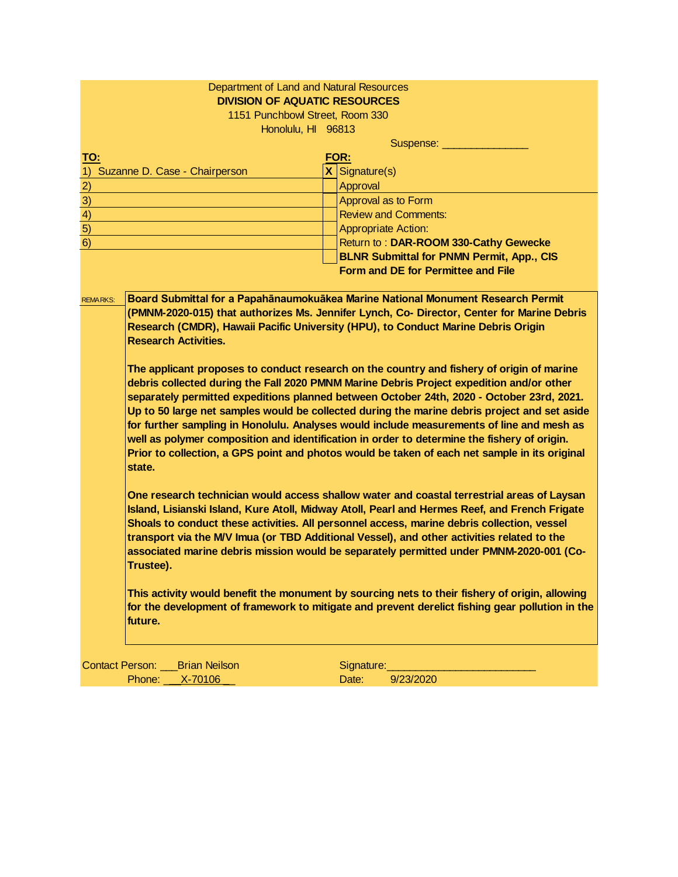| Department of Land and Natural Resources<br><b>DIVISION OF AQUATIC RESOURCES</b>                                                                                                                                                                                                                                                                                                                                                                                                                                                                                                                                                                                                                                |                                                                                                                                                                                                                                                                     |  |  |  |  |  |
|-----------------------------------------------------------------------------------------------------------------------------------------------------------------------------------------------------------------------------------------------------------------------------------------------------------------------------------------------------------------------------------------------------------------------------------------------------------------------------------------------------------------------------------------------------------------------------------------------------------------------------------------------------------------------------------------------------------------|---------------------------------------------------------------------------------------------------------------------------------------------------------------------------------------------------------------------------------------------------------------------|--|--|--|--|--|
| 1151 Punchbowl Street, Room 330                                                                                                                                                                                                                                                                                                                                                                                                                                                                                                                                                                                                                                                                                 |                                                                                                                                                                                                                                                                     |  |  |  |  |  |
| Honolulu, HI 96813                                                                                                                                                                                                                                                                                                                                                                                                                                                                                                                                                                                                                                                                                              |                                                                                                                                                                                                                                                                     |  |  |  |  |  |
|                                                                                                                                                                                                                                                                                                                                                                                                                                                                                                                                                                                                                                                                                                                 | Suspense: _______                                                                                                                                                                                                                                                   |  |  |  |  |  |
| <u>TO:</u>                                                                                                                                                                                                                                                                                                                                                                                                                                                                                                                                                                                                                                                                                                      | FOR:                                                                                                                                                                                                                                                                |  |  |  |  |  |
| Suzanne D. Case - Chairperson<br>1)                                                                                                                                                                                                                                                                                                                                                                                                                                                                                                                                                                                                                                                                             | $X$ Signature(s)                                                                                                                                                                                                                                                    |  |  |  |  |  |
| $\overline{2}$                                                                                                                                                                                                                                                                                                                                                                                                                                                                                                                                                                                                                                                                                                  | Approval                                                                                                                                                                                                                                                            |  |  |  |  |  |
| $\overline{3}$                                                                                                                                                                                                                                                                                                                                                                                                                                                                                                                                                                                                                                                                                                  | Approval as to Form                                                                                                                                                                                                                                                 |  |  |  |  |  |
| $\overline{4}$                                                                                                                                                                                                                                                                                                                                                                                                                                                                                                                                                                                                                                                                                                  | <b>Review and Comments:</b>                                                                                                                                                                                                                                         |  |  |  |  |  |
| 5)                                                                                                                                                                                                                                                                                                                                                                                                                                                                                                                                                                                                                                                                                                              | <b>Appropriate Action:</b>                                                                                                                                                                                                                                          |  |  |  |  |  |
| 6)                                                                                                                                                                                                                                                                                                                                                                                                                                                                                                                                                                                                                                                                                                              | Return to: DAR-ROOM 330-Cathy Gewecke                                                                                                                                                                                                                               |  |  |  |  |  |
|                                                                                                                                                                                                                                                                                                                                                                                                                                                                                                                                                                                                                                                                                                                 | <b>BLNR Submittal for PNMN Permit, App., CIS</b>                                                                                                                                                                                                                    |  |  |  |  |  |
|                                                                                                                                                                                                                                                                                                                                                                                                                                                                                                                                                                                                                                                                                                                 | <b>Form and DE for Permittee and File</b>                                                                                                                                                                                                                           |  |  |  |  |  |
| <b>REMARKS:</b><br><b>Research Activities.</b>                                                                                                                                                                                                                                                                                                                                                                                                                                                                                                                                                                                                                                                                  | Board Submittal for a Papahānaumokuākea Marine National Monument Research Permit<br>(PMNM-2020-015) that authorizes Ms. Jennifer Lynch, Co- Director, Center for Marine Debris<br>Research (CMDR), Hawaii Pacific University (HPU), to Conduct Marine Debris Origin |  |  |  |  |  |
| The applicant proposes to conduct research on the country and fishery of origin of marine<br>debris collected during the Fall 2020 PMNM Marine Debris Project expedition and/or other<br>separately permitted expeditions planned between October 24th, 2020 - October 23rd, 2021.<br>Up to 50 large net samples would be collected during the marine debris project and set aside<br>for further sampling in Honolulu. Analyses would include measurements of line and mesh as<br>well as polymer composition and identification in order to determine the fishery of origin.<br>Prior to collection, a GPS point and photos would be taken of each net sample in its original<br>state.                       |                                                                                                                                                                                                                                                                     |  |  |  |  |  |
| One research technician would access shallow water and coastal terrestrial areas of Laysan<br>Island, Lisianski Island, Kure Atoll, Midway Atoll, Pearl and Hermes Reef, and French Frigate<br>Shoals to conduct these activities. All personnel access, marine debris collection, vessel<br>transport via the M/V Imua (or TBD Additional Vessel), and other activities related to the<br>associated marine debris mission would be separately permitted under PMNM-2020-001 (Co-<br>Trustee).<br>This activity would benefit the monument by sourcing nets to their fishery of origin, allowing<br>for the development of framework to mitigate and prevent derelict fishing gear pollution in the<br>future. |                                                                                                                                                                                                                                                                     |  |  |  |  |  |
|                                                                                                                                                                                                                                                                                                                                                                                                                                                                                                                                                                                                                                                                                                                 |                                                                                                                                                                                                                                                                     |  |  |  |  |  |
| Contact Person: Brian Neilson                                                                                                                                                                                                                                                                                                                                                                                                                                                                                                                                                                                                                                                                                   | Signature:                                                                                                                                                                                                                                                          |  |  |  |  |  |
| Phone: X-70106                                                                                                                                                                                                                                                                                                                                                                                                                                                                                                                                                                                                                                                                                                  | Date:<br>9/23/2020                                                                                                                                                                                                                                                  |  |  |  |  |  |
|                                                                                                                                                                                                                                                                                                                                                                                                                                                                                                                                                                                                                                                                                                                 |                                                                                                                                                                                                                                                                     |  |  |  |  |  |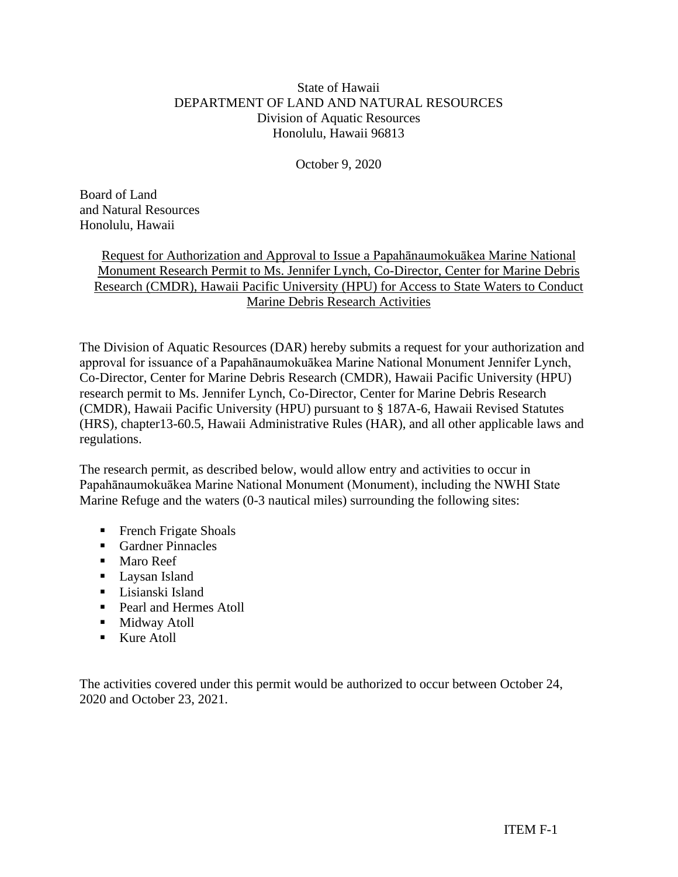# State of Hawaii DEPARTMENT OF LAND AND NATURAL RESOURCES Division of Aquatic Resources Honolulu, Hawaii 96813

October 9, 2020

Board of Land and Natural Resources Honolulu, Hawaii

> Request for Authorization and Approval to Issue a Papahānaumokuākea Marine National Monument Research Permit to Ms. Jennifer Lynch, Co-Director, Center for Marine Debris Research (CMDR), Hawaii Pacific University (HPU) for Access to State Waters to Conduct Marine Debris Research Activities

The Division of Aquatic Resources (DAR) hereby submits a request for your authorization and approval for issuance of a Papahānaumokuākea Marine National Monument Jennifer Lynch, Co-Director, Center for Marine Debris Research (CMDR), Hawaii Pacific University (HPU) research permit to Ms. Jennifer Lynch, Co-Director, Center for Marine Debris Research (CMDR), Hawaii Pacific University (HPU) pursuant to § 187A-6, Hawaii Revised Statutes (HRS), chapter13-60.5, Hawaii Administrative Rules (HAR), and all other applicable laws and regulations.

The research permit, as described below, would allow entry and activities to occur in Papahānaumokuākea Marine National Monument (Monument), including the NWHI State Marine Refuge and the waters (0-3 nautical miles) surrounding the following sites:

- **•** French Frigate Shoals
- Gardner Pinnacles
- Maro Reef
- Laysan Island
- Lisianski Island
- Pearl and Hermes Atoll
- **■** Midway Atoll
- Kure Atoll

The activities covered under this permit would be authorized to occur between October 24, 2020 and October 23, 2021.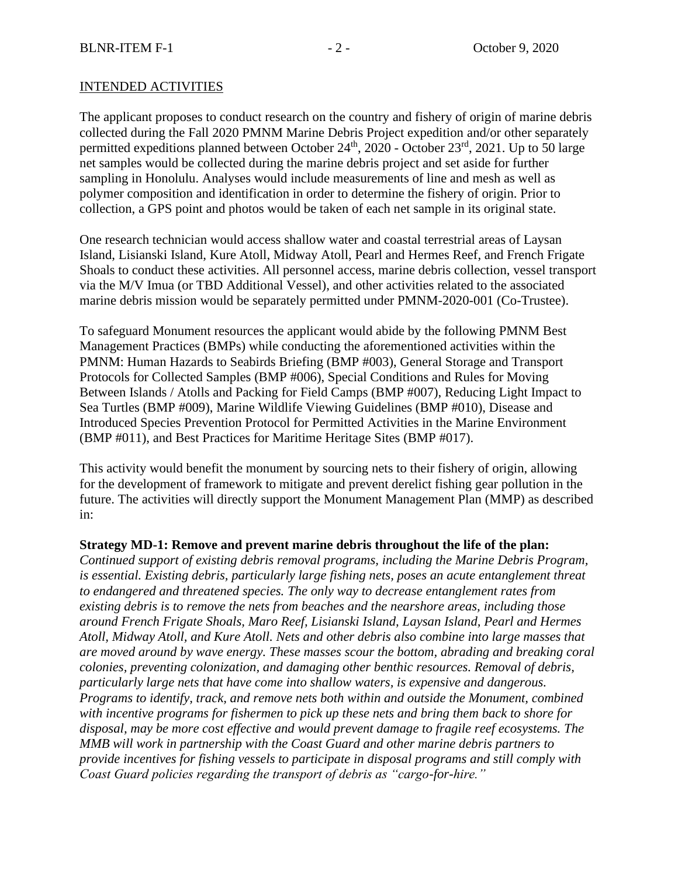## INTENDED ACTIVITIES

The applicant proposes to conduct research on the country and fishery of origin of marine debris collected during the Fall 2020 PMNM Marine Debris Project expedition and/or other separately permitted expeditions planned between October  $24<sup>th</sup>$ ,  $2020$  - October  $23<sup>rd</sup>$ ,  $2021$ . Up to 50 large net samples would be collected during the marine debris project and set aside for further sampling in Honolulu. Analyses would include measurements of line and mesh as well as polymer composition and identification in order to determine the fishery of origin. Prior to collection, a GPS point and photos would be taken of each net sample in its original state.

One research technician would access shallow water and coastal terrestrial areas of Laysan Island, Lisianski Island, Kure Atoll, Midway Atoll, Pearl and Hermes Reef, and French Frigate Shoals to conduct these activities. All personnel access, marine debris collection, vessel transport via the M/V Imua (or TBD Additional Vessel), and other activities related to the associated marine debris mission would be separately permitted under PMNM-2020-001 (Co-Trustee).

To safeguard Monument resources the applicant would abide by the following PMNM Best Management Practices (BMPs) while conducting the aforementioned activities within the PMNM: Human Hazards to Seabirds Briefing (BMP #003), General Storage and Transport Protocols for Collected Samples (BMP #006), Special Conditions and Rules for Moving Between Islands / Atolls and Packing for Field Camps (BMP #007), Reducing Light Impact to Sea Turtles (BMP #009), Marine Wildlife Viewing Guidelines (BMP #010), Disease and Introduced Species Prevention Protocol for Permitted Activities in the Marine Environment (BMP #011), and Best Practices for Maritime Heritage Sites (BMP #017).

This activity would benefit the monument by sourcing nets to their fishery of origin, allowing for the development of framework to mitigate and prevent derelict fishing gear pollution in the future. The activities will directly support the Monument Management Plan (MMP) as described in:

### **Strategy MD-1: Remove and prevent marine debris throughout the life of the plan:**

*Continued support of existing debris removal programs, including the Marine Debris Program, is essential. Existing debris, particularly large fishing nets, poses an acute entanglement threat to endangered and threatened species. The only way to decrease entanglement rates from existing debris is to remove the nets from beaches and the nearshore areas, including those around French Frigate Shoals, Maro Reef, Lisianski Island, Laysan Island, Pearl and Hermes Atoll, Midway Atoll, and Kure Atoll. Nets and other debris also combine into large masses that are moved around by wave energy. These masses scour the bottom, abrading and breaking coral colonies, preventing colonization, and damaging other benthic resources. Removal of debris, particularly large nets that have come into shallow waters, is expensive and dangerous. Programs to identify, track, and remove nets both within and outside the Monument, combined with incentive programs for fishermen to pick up these nets and bring them back to shore for disposal, may be more cost effective and would prevent damage to fragile reef ecosystems. The MMB will work in partnership with the Coast Guard and other marine debris partners to provide incentives for fishing vessels to participate in disposal programs and still comply with Coast Guard policies regarding the transport of debris as "cargo-for-hire."*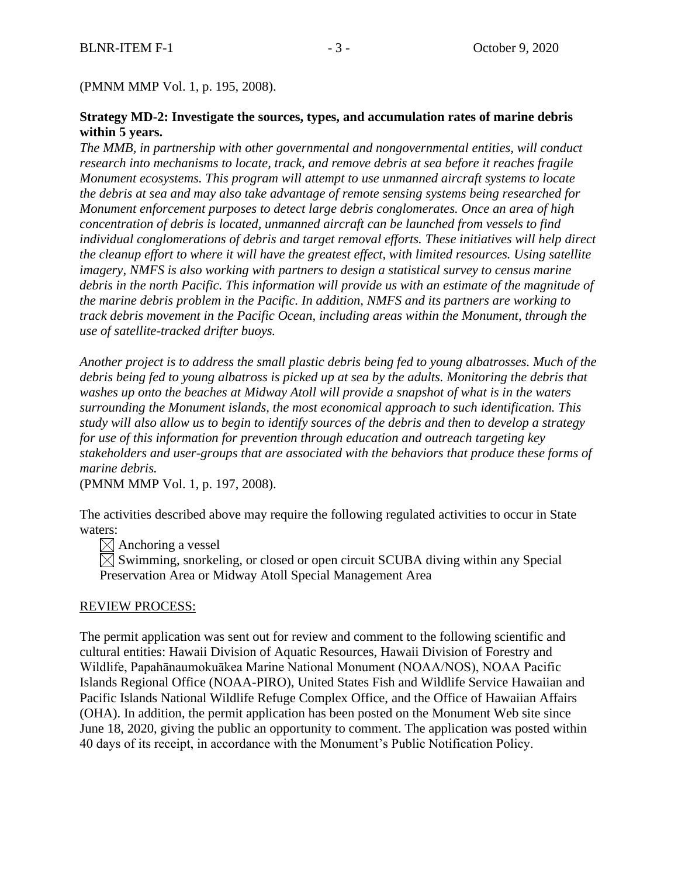(PMNM MMP Vol. 1, p. 195, 2008).

## **Strategy MD-2: Investigate the sources, types, and accumulation rates of marine debris within 5 years.**

*The MMB, in partnership with other governmental and nongovernmental entities, will conduct research into mechanisms to locate, track, and remove debris at sea before it reaches fragile Monument ecosystems. This program will attempt to use unmanned aircraft systems to locate the debris at sea and may also take advantage of remote sensing systems being researched for Monument enforcement purposes to detect large debris conglomerates. Once an area of high concentration of debris is located, unmanned aircraft can be launched from vessels to find individual conglomerations of debris and target removal efforts. These initiatives will help direct the cleanup effort to where it will have the greatest effect, with limited resources. Using satellite imagery, NMFS is also working with partners to design a statistical survey to census marine debris in the north Pacific. This information will provide us with an estimate of the magnitude of the marine debris problem in the Pacific. In addition, NMFS and its partners are working to track debris movement in the Pacific Ocean, including areas within the Monument, through the use of satellite-tracked drifter buoys.*

*Another project is to address the small plastic debris being fed to young albatrosses. Much of the debris being fed to young albatross is picked up at sea by the adults. Monitoring the debris that washes up onto the beaches at Midway Atoll will provide a snapshot of what is in the waters surrounding the Monument islands, the most economical approach to such identification. This study will also allow us to begin to identify sources of the debris and then to develop a strategy for use of this information for prevention through education and outreach targeting key stakeholders and user-groups that are associated with the behaviors that produce these forms of marine debris.*

(PMNM MMP Vol. 1, p. 197, 2008).

The activities described above may require the following regulated activities to occur in State waters:

 $\times$  Anchoring a vessel

 $\boxtimes$  Swimming, snorkeling, or closed or open circuit SCUBA diving within any Special Preservation Area or Midway Atoll Special Management Area

### REVIEW PROCESS:

The permit application was sent out for review and comment to the following scientific and cultural entities: Hawaii Division of Aquatic Resources, Hawaii Division of Forestry and Wildlife, Papahānaumokuākea Marine National Monument (NOAA/NOS), NOAA Pacific Islands Regional Office (NOAA-PIRO), United States Fish and Wildlife Service Hawaiian and Pacific Islands National Wildlife Refuge Complex Office, and the Office of Hawaiian Affairs (OHA). In addition, the permit application has been posted on the Monument Web site since June 18, 2020, giving the public an opportunity to comment. The application was posted within 40 days of its receipt, in accordance with the Monument's Public Notification Policy.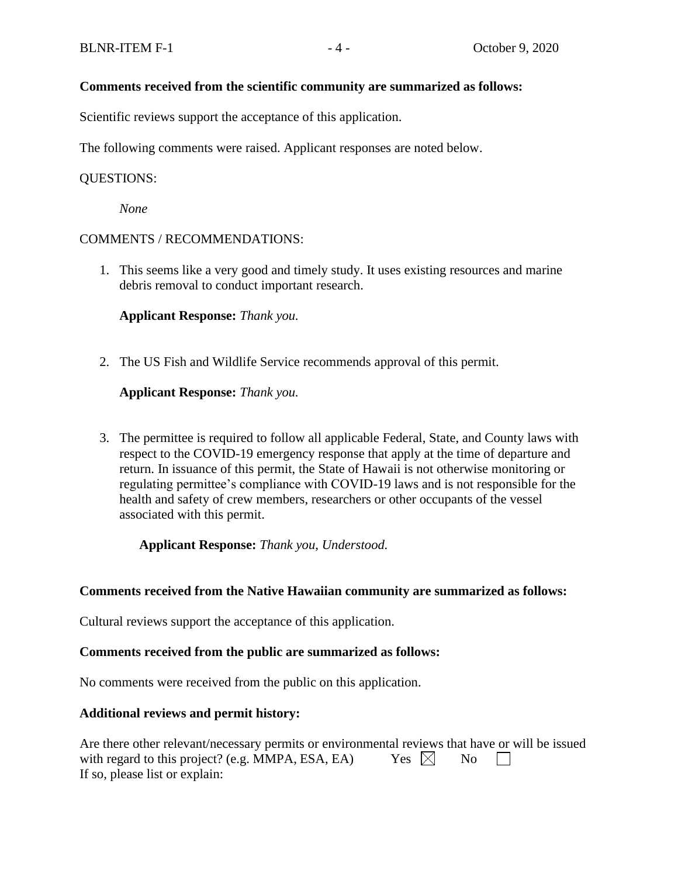### **Comments received from the scientific community are summarized as follows:**

Scientific reviews support the acceptance of this application.

The following comments were raised. Applicant responses are noted below.

#### QUESTIONS:

*None*

#### COMMENTS / RECOMMENDATIONS:

1. This seems like a very good and timely study. It uses existing resources and marine debris removal to conduct important research.

**Applicant Response:** *Thank you.*

2. The US Fish and Wildlife Service recommends approval of this permit.

**Applicant Response:** *Thank you.*

3. The permittee is required to follow all applicable Federal, State, and County laws with respect to the COVID-19 emergency response that apply at the time of departure and return. In issuance of this permit, the State of Hawaii is not otherwise monitoring or regulating permittee's compliance with COVID-19 laws and is not responsible for the health and safety of crew members, researchers or other occupants of the vessel associated with this permit.

**Applicant Response:** *Thank you, Understood.*

#### **Comments received from the Native Hawaiian community are summarized as follows:**

Cultural reviews support the acceptance of this application.

#### **Comments received from the public are summarized as follows:**

No comments were received from the public on this application.

#### **Additional reviews and permit history:**

| Are there other relevant/necessary permits or environmental reviews that have or will be issued |                 |                    |  |
|-------------------------------------------------------------------------------------------------|-----------------|--------------------|--|
| with regard to this project? (e.g. MMPA, ESA, EA)                                               | Yes $\boxtimes$ | $\overline{N_{0}}$ |  |
| If so, please list or explain:                                                                  |                 |                    |  |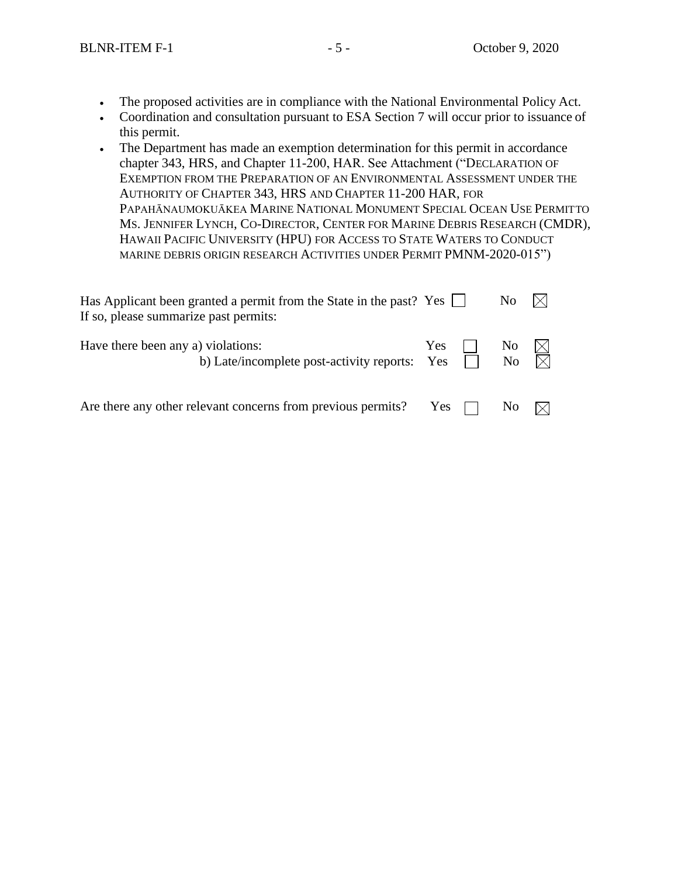- The proposed activities are in compliance with the National Environmental Policy Act.
- Coordination and consultation pursuant to ESA Section 7 will occur prior to issuance of this permit.
- The Department has made an exemption determination for this permit in accordance chapter 343, HRS, and Chapter 11-200, HAR. See Attachment ("DECLARATION OF EXEMPTION FROM THE PREPARATION OF AN ENVIRONMENTAL ASSESSMENT UNDER THE AUTHORITY OF CHAPTER 343, HRS AND CHAPTER 11-200 HAR, FOR PAPAHĀNAUMOKUĀKEA MARINE NATIONAL MONUMENT SPECIAL OCEAN USE PERMITTO MS. JENNIFER LYNCH, CO-DIRECTOR, CENTER FOR MARINE DEBRIS RESEARCH (CMDR), HAWAII PACIFIC UNIVERSITY (HPU) FOR ACCESS TO STATE WATERS TO CONDUCT MARINE DEBRIS ORIGIN RESEARCH ACTIVITIES UNDER PERMIT PMNM-2020-015")

| Has Applicant been granted a permit from the State in the past? Yes $\Box$<br>If so, please summarize past permits: |            |  | N <sub>o</sub> |  |  |
|---------------------------------------------------------------------------------------------------------------------|------------|--|----------------|--|--|
| Have there been any a) violations:<br>b) Late/incomplete post-activity reports: Yes                                 | <b>Yes</b> |  | No<br>No       |  |  |
| Are there any other relevant concerns from previous permits?                                                        | Yes        |  | N <sub>0</sub> |  |  |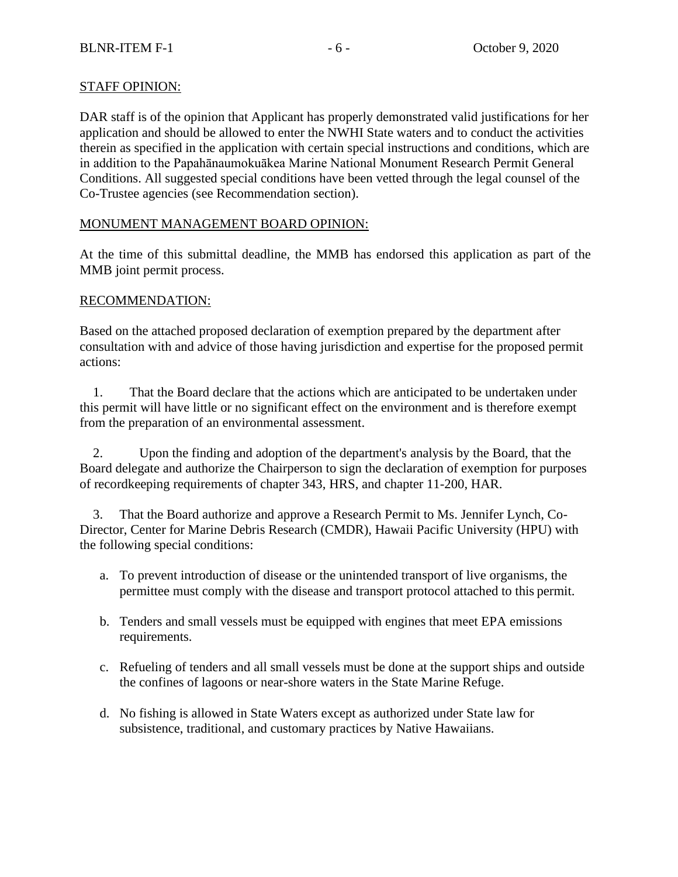# STAFF OPINION:

DAR staff is of the opinion that Applicant has properly demonstrated valid justifications for her application and should be allowed to enter the NWHI State waters and to conduct the activities therein as specified in the application with certain special instructions and conditions, which are in addition to the Papahānaumokuākea Marine National Monument Research Permit General Conditions. All suggested special conditions have been vetted through the legal counsel of the Co-Trustee agencies (see Recommendation section).

# MONUMENT MANAGEMENT BOARD OPINION:

At the time of this submittal deadline, the MMB has endorsed this application as part of the MMB joint permit process.

## RECOMMENDATION:

Based on the attached proposed declaration of exemption prepared by the department after consultation with and advice of those having jurisdiction and expertise for the proposed permit actions:

1. That the Board declare that the actions which are anticipated to be undertaken under this permit will have little or no significant effect on the environment and is therefore exempt from the preparation of an environmental assessment.

2. Upon the finding and adoption of the department's analysis by the Board, that the Board delegate and authorize the Chairperson to sign the declaration of exemption for purposes of recordkeeping requirements of chapter 343, HRS, and chapter 11-200, HAR.

3. That the Board authorize and approve a Research Permit to Ms. Jennifer Lynch, Co-Director, Center for Marine Debris Research (CMDR), Hawaii Pacific University (HPU) with the following special conditions:

- a. To prevent introduction of disease or the unintended transport of live organisms, the permittee must comply with the disease and transport protocol attached to this permit.
- b. Tenders and small vessels must be equipped with engines that meet EPA emissions requirements.
- c. Refueling of tenders and all small vessels must be done at the support ships and outside the confines of lagoons or near-shore waters in the State Marine Refuge.
- d. No fishing is allowed in State Waters except as authorized under State law for subsistence, traditional, and customary practices by Native Hawaiians.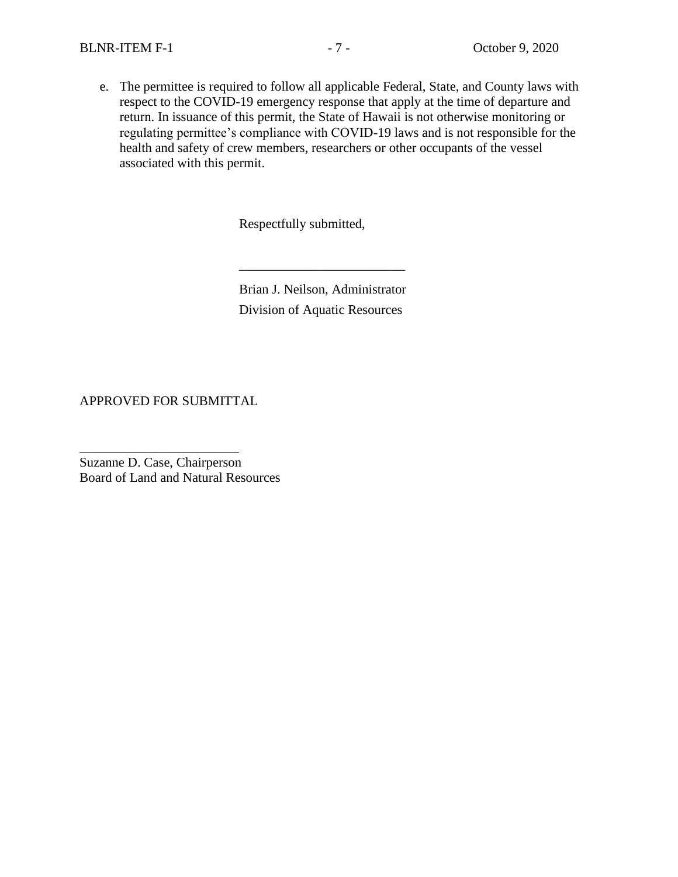e. The permittee is required to follow all applicable Federal, State, and County laws with respect to the COVID-19 emergency response that apply at the time of departure and return. In issuance of this permit, the State of Hawaii is not otherwise monitoring or regulating permittee's compliance with COVID-19 laws and is not responsible for the health and safety of crew members, researchers or other occupants of the vessel associated with this permit.

Respectfully submitted,

Brian J. Neilson, Administrator Division of Aquatic Resources

\_\_\_\_\_\_\_\_\_\_\_\_\_\_\_\_\_\_\_\_\_\_\_\_\_

APPROVED FOR SUBMITTAL

\_\_\_\_\_\_\_\_\_\_\_\_\_\_\_\_\_\_\_\_\_\_\_\_

Suzanne D. Case, Chairperson Board of Land and Natural Resources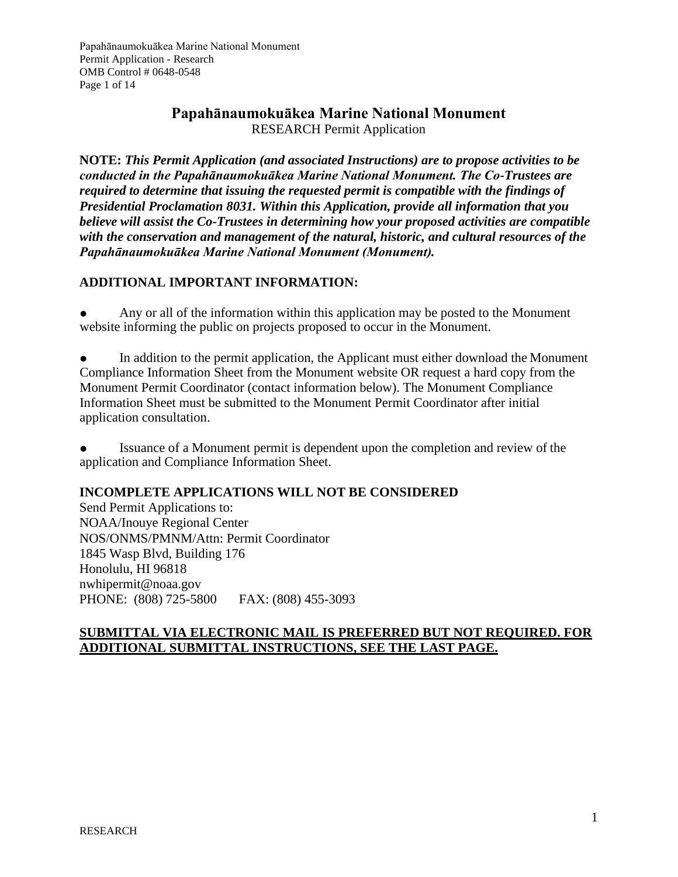# **Papahānaumokuākea Marine National Monument** RESEARCH Permit Application

**NOTE:** *This Permit Application (and associated Instructions) are to propose activities to be conducted in the Papahānaumokuākea Marine National Monument. The Co-Trustees are required to determine that issuing the requested permit is compatible with the findings of Presidential Proclamation 8031. Within this Application, provide all information that you believe will assist the Co-Trustees in determining how your proposed activities are compatible with the conservation and management of the natural, historic, and cultural resources of the Papahānaumokuākea Marine National Monument (Monument).*

# **ADDITIONAL IMPORTANT INFORMATION:**

Any or all of the information within this application may be posted to the Monument website informing the public on projects proposed to occur in the Monument.

In addition to the permit application, the Applicant must either download the Monument Compliance Information Sheet from the Monument website OR request a hard copy from the Monument Permit Coordinator (contact information below). The Monument Compliance Information Sheet must be submitted to the Monument Permit Coordinator after initial application consultation.

Issuance of a Monument permit is dependent upon the completion and review of the application and Compliance Information Sheet.

# **INCOMPLETE APPLICATIONS WILL NOT BE CONSIDERED**

Send Permit Applications to: NOAA/Inouye Regional Center NOS/ONMS/PMNM/Attn: Permit Coordinator 1845 Wasp Blvd, Building 176 Honolulu, HI 96818 [nwhipermit@noaa.gov](mailto:nwhipermit@noaa.gov) PHONE: (808) 725-5800 FAX: (808) 455-3093

# **SUBMITTAL VIA ELECTRONIC MAIL IS PREFERRED BUT NOT REQUIRED. FOR ADDITIONAL SUBMITTAL INSTRUCTIONS, SEE THE LAST PAGE.**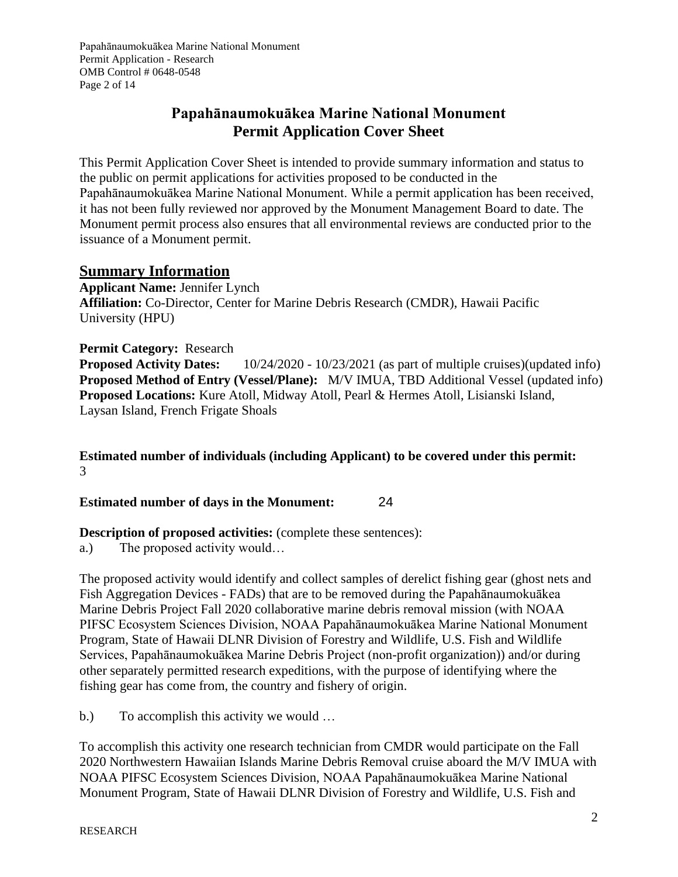Papahānaumokuākea Marine National Monument Permit Application - Research OMB Control # 0648-0548 Page 2 of 14

# **Papahānaumokuākea Marine National Monument Permit Application Cover Sheet**

This Permit Application Cover Sheet is intended to provide summary information and status to the public on permit applications for activities proposed to be conducted in the Papahānaumokuākea Marine National Monument. While a permit application has been received, it has not been fully reviewed nor approved by the Monument Management Board to date. The Monument permit process also ensures that all environmental reviews are conducted prior to the issuance of a Monument permit.

# **Summary Information**

**Applicant Name:** Jennifer Lynch **Affiliation:** Co-Director, Center for Marine Debris Research (CMDR), Hawaii Pacific University (HPU)

**Permit Category:** Research **Proposed Activity Dates:** 10/24/2020 - 10/23/2021 (as part of multiple cruises)(updated info) **Proposed Method of Entry (Vessel/Plane):** M/V IMUA, TBD Additional Vessel (updated info) **Proposed Locations:** Kure Atoll, Midway Atoll, Pearl & Hermes Atoll, Lisianski Island, Laysan Island, French Frigate Shoals

**Estimated number of individuals (including Applicant) to be covered under this permit:** 3

**Estimated number of days in the Monument:** 24

# **Description of proposed activities:** (complete these sentences):

a.) The proposed activity would…

The proposed activity would identify and collect samples of derelict fishing gear (ghost nets and Fish Aggregation Devices - FADs) that are to be removed during the Papahānaumokuākea Marine Debris Project Fall 2020 collaborative marine debris removal mission (with NOAA PIFSC Ecosystem Sciences Division, NOAA Papahānaumokuākea Marine National Monument Program, State of Hawaii DLNR Division of Forestry and Wildlife, U.S. Fish and Wildlife Services, Papahānaumokuākea Marine Debris Project (non-profit organization)) and/or during other separately permitted research expeditions, with the purpose of identifying where the fishing gear has come from, the country and fishery of origin.

b.) To accomplish this activity we would ...

To accomplish this activity one research technician from CMDR would participate on the Fall 2020 Northwestern Hawaiian Islands Marine Debris Removal cruise aboard the M/V IMUA with NOAA PIFSC Ecosystem Sciences Division, NOAA Papahānaumokuākea Marine National Monument Program, State of Hawaii DLNR Division of Forestry and Wildlife, U.S. Fish and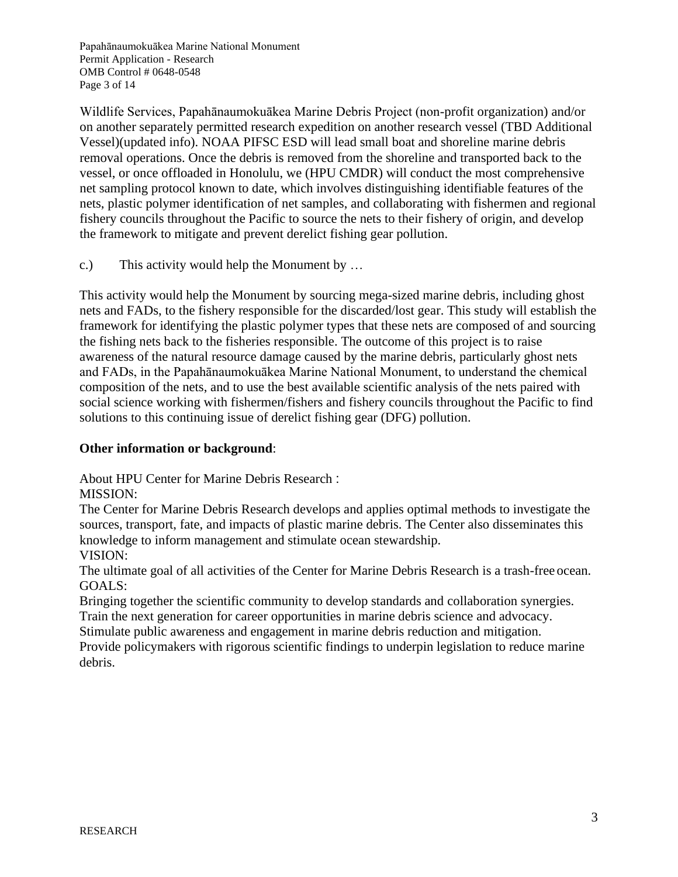Papahānaumokuākea Marine National Monument Permit Application - Research OMB Control # 0648-0548 Page 3 of 14

Wildlife Services, Papahānaumokuākea Marine Debris Project (non-profit organization) and/or on another separately permitted research expedition on another research vessel (TBD Additional Vessel)(updated info). NOAA PIFSC ESD will lead small boat and shoreline marine debris removal operations. Once the debris is removed from the shoreline and transported back to the vessel, or once offloaded in Honolulu, we (HPU CMDR) will conduct the most comprehensive net sampling protocol known to date, which involves distinguishing identifiable features of the nets, plastic polymer identification of net samples, and collaborating with fishermen and regional fishery councils throughout the Pacific to source the nets to their fishery of origin, and develop the framework to mitigate and prevent derelict fishing gear pollution.

c.) This activity would help the Monument by …

This activity would help the Monument by sourcing mega-sized marine debris, including ghost nets and FADs, to the fishery responsible for the discarded/lost gear. This study will establish the framework for identifying the plastic polymer types that these nets are composed of and sourcing the fishing nets back to the fisheries responsible. The outcome of this project is to raise awareness of the natural resource damage caused by the marine debris, particularly ghost nets and FADs, in the Papahānaumokuākea Marine National Monument, to understand the chemical composition of the nets, and to use the best available scientific analysis of the nets paired with social science working with fishermen/fishers and fishery councils throughout the Pacific to find solutions to this continuing issue of derelict fishing gear (DFG) pollution.

### **Other information or background**:

About HPU Center for Marine Debris Research :

# MISSION:

The Center for Marine Debris Research develops and applies optimal methods to investigate the sources, transport, fate, and impacts of plastic marine debris. The Center also disseminates this knowledge to inform management and stimulate ocean stewardship. VISION:

The ultimate goal of all activities of the Center for Marine Debris Research is a trash-free ocean. GOALS:

Bringing together the scientific community to develop standards and collaboration synergies. Train the next generation for career opportunities in marine debris science and advocacy.

Stimulate public awareness and engagement in marine debris reduction and mitigation. Provide policymakers with rigorous scientific findings to underpin legislation to reduce marine debris.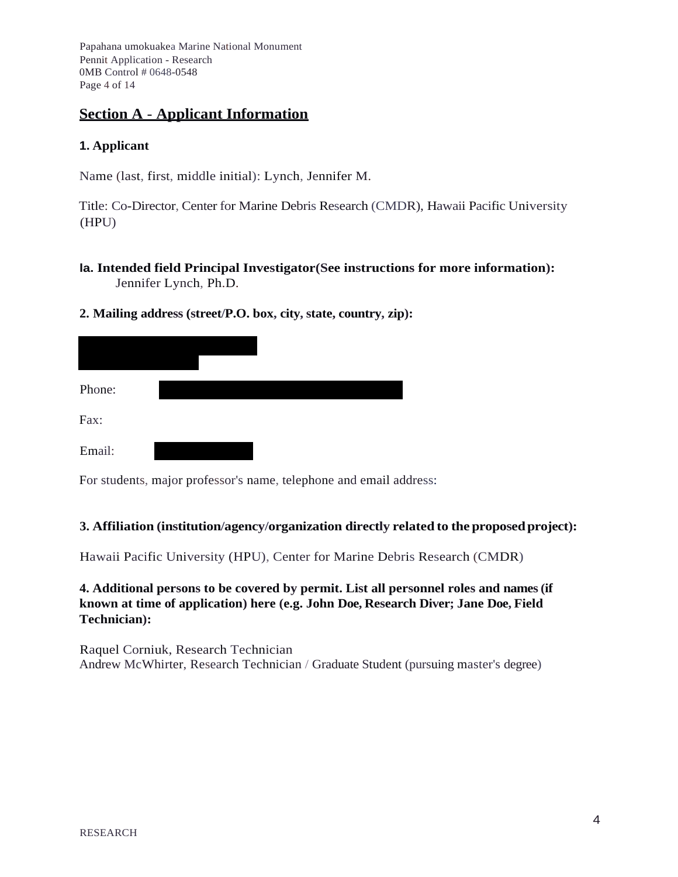Papahana umokuakea Marine National Monument Pennit Application - Research 0MB Control # 0648-0548 Page 4 of 14

# **Section A** - **Applicant Information**

# **1. Applicant**

Name (last, first, middle initial): Lynch, Jennifer M.

Title: Co-Director, Center for Marine Debris Research (CMDR), Hawaii Pacific University (HPU)

- **la. Intended field Principal Investigator(See instructions for more information):** Jennifer Lynch, Ph.D.
- **2. Mailing address (street/P.O. box, city, state, country, zip):**

| Phone: |  |  |
|--------|--|--|
| Fax:   |  |  |
| Email: |  |  |

For students, major professor's name, telephone and email address:

### **3. Affiliation (institution/agency/organization directly related to the proposedproject):**

Hawaii Pacific University (HPU), Center for Marine Debris Research (CMDR)

## **4. Additional persons to be covered by permit. List all personnel roles and names (if known at time of application) here (e.g. John Doe, Research Diver; Jane Doe, Field Technician):**

Raquel Corniuk, Research Technician Andrew McWhirter, Research Technician / Graduate Student (pursuing master's degree)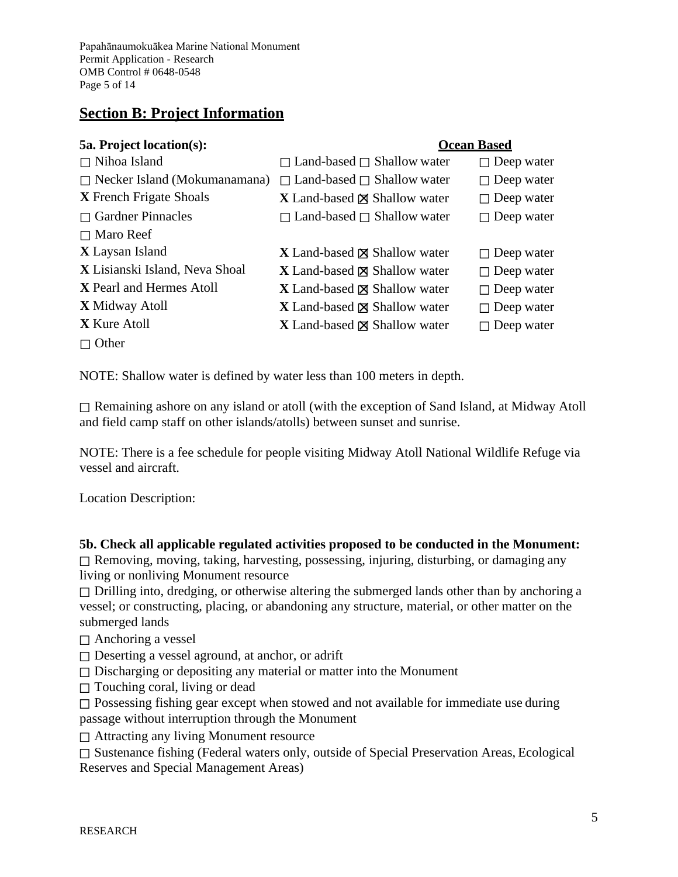Papahānaumokuākea Marine National Monument Permit Application - Research OMB Control # 0648-0548 Page 5 of 14

# **Section B: Project Information**

# **5a. Project location(s): Ocean Based** ☐ Nihoa Island ☐ Land-based ☐ Shallow water ☐ Deep water ☐ Necker Island (Mokumanamana) ☐ Land-based ☐ Shallow water ☐ Deep water **X** French Frigate Shoals **X** Land-based ⊠ Shallow water □ Deep water **□ Gardner Pinnacles** □ Land-based □ Shallow water □ Deep water ☐ Maro Reef **X** Laysan Island **X** Land-based ⊠ Shallow water **□** Deep water **X** Lisianski Island, Neva Shoal **X** Land-based ⊠ Shallow water □ Deep water **X** Pearl and Hermes Atoll **X** Land-based ⊠ Shallow water □ Deep water **X** Midway Atoll **X** Land-based ⊠ Shallow water **□** Deep water **X X** Land-based ⊠ Shallow water **□** Deep water ☐ Other

NOTE: Shallow water is defined by water less than 100 meters in depth.

☐ Remaining ashore on any island or atoll (with the exception of Sand Island, at Midway Atoll and field camp staff on other islands/atolls) between sunset and sunrise.

NOTE: There is a fee schedule for people visiting Midway Atoll National Wildlife Refuge via vessel and aircraft.

Location Description:

# **5b. Check all applicable regulated activities proposed to be conducted in the Monument:**

☐ Removing, moving, taking, harvesting, possessing, injuring, disturbing, or damaging any living or nonliving Monument resource

 $\Box$  Drilling into, dredging, or otherwise altering the submerged lands other than by anchoring a vessel; or constructing, placing, or abandoning any structure, material, or other matter on the submerged lands

 $\Box$  Anchoring a vessel

☐ Deserting a vessel aground, at anchor, or adrift

 $\Box$  Discharging or depositing any material or matter into the Monument

 $\Box$  Touching coral, living or dead

□ Possessing fishing gear except when stowed and not available for immediate use during passage without interruption through the Monument

☐ Attracting any living Monument resource

☐ Sustenance fishing (Federal waters only, outside of Special Preservation Areas, Ecological Reserves and Special Management Areas)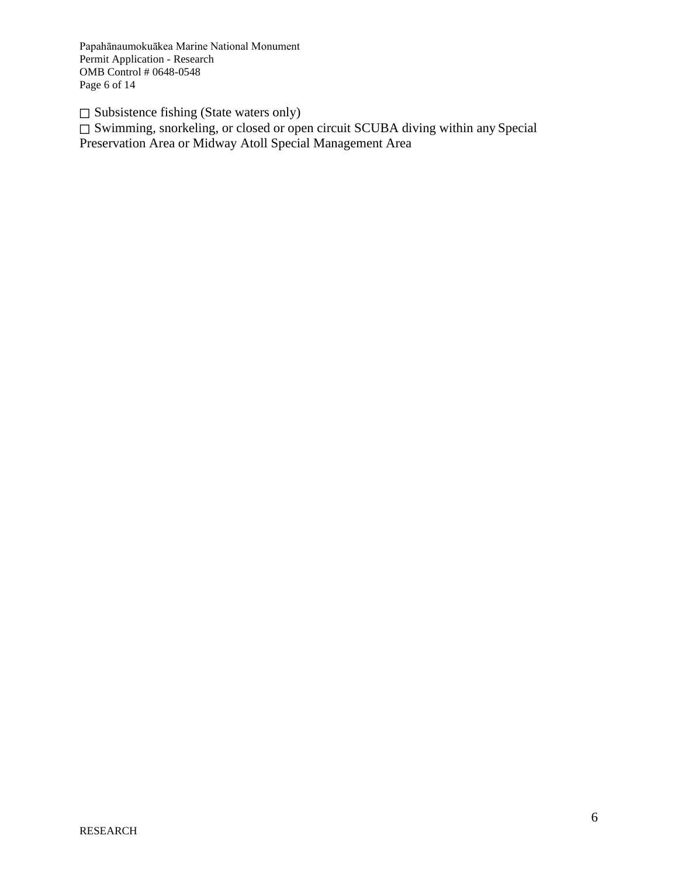Papahānaumokuākea Marine National Monument Permit Application - Research OMB Control # 0648-0548 Page 6 of 14

 $\Box$  Subsistence fishing (State waters only)

□ Swimming, snorkeling, or closed or open circuit SCUBA diving within any Special Preservation Area or Midway Atoll Special Management Area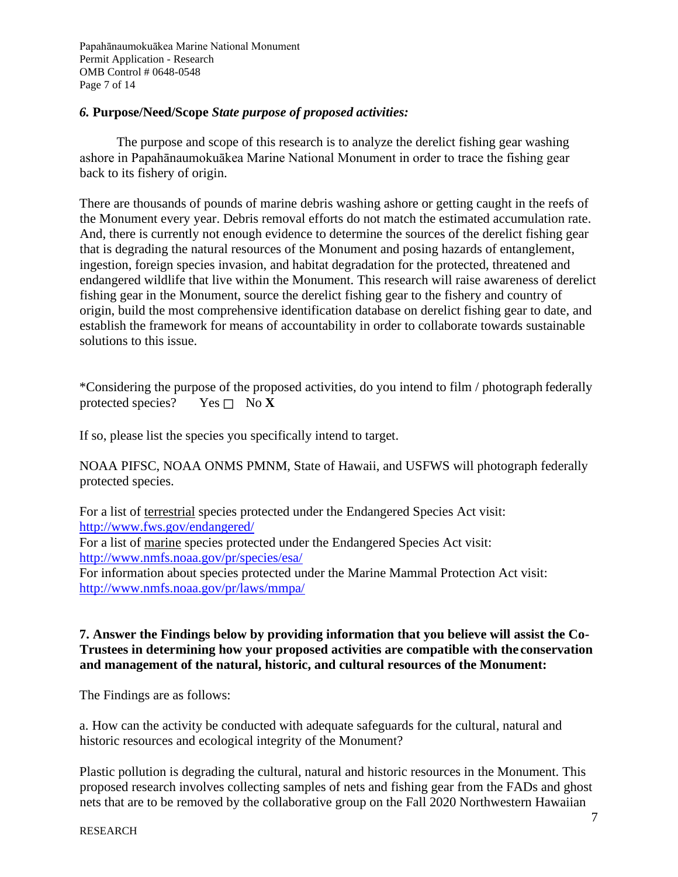Papahānaumokuākea Marine National Monument Permit Application - Research OMB Control # 0648-0548 Page 7 of 14

## *6.* **Purpose/Need/Scope** *State purpose of proposed activities:*

The purpose and scope of this research is to analyze the derelict fishing gear washing ashore in Papahānaumokuākea Marine National Monument in order to trace the fishing gear back to its fishery of origin.

There are thousands of pounds of marine debris washing ashore or getting caught in the reefs of the Monument every year. Debris removal efforts do not match the estimated accumulation rate. And, there is currently not enough evidence to determine the sources of the derelict fishing gear that is degrading the natural resources of the Monument and posing hazards of entanglement, ingestion, foreign species invasion, and habitat degradation for the protected, threatened and endangered wildlife that live within the Monument. This research will raise awareness of derelict fishing gear in the Monument, source the derelict fishing gear to the fishery and country of origin, build the most comprehensive identification database on derelict fishing gear to date, and establish the framework for means of accountability in order to collaborate towards sustainable solutions to this issue.

\*Considering the purpose of the proposed activities, do you intend to film / photograph federally protected species? Yes  $\Box$  No **X** 

If so, please list the species you specifically intend to target.

NOAA PIFSC, NOAA ONMS PMNM, State of Hawaii, and USFWS will photograph federally protected species.

For a list of terrestrial species protected under the Endangered Species Act visit: <http://www.fws.gov/endangered/>

For a list of marine species protected under the Endangered Species Act visit: <http://www.nmfs.noaa.gov/pr/species/esa/>

For information about species protected under the Marine Mammal Protection Act visit: <http://www.nmfs.noaa.gov/pr/laws/mmpa/>

## **7. Answer the Findings below by providing information that you believe will assist the Co-Trustees in determining how your proposed activities are compatible with the conservation and management of the natural, historic, and cultural resources of the Monument:**

The Findings are as follows:

a. How can the activity be conducted with adequate safeguards for the cultural, natural and historic resources and ecological integrity of the Monument?

Plastic pollution is degrading the cultural, natural and historic resources in the Monument. This proposed research involves collecting samples of nets and fishing gear from the FADs and ghost nets that are to be removed by the collaborative group on the Fall 2020 Northwestern Hawaiian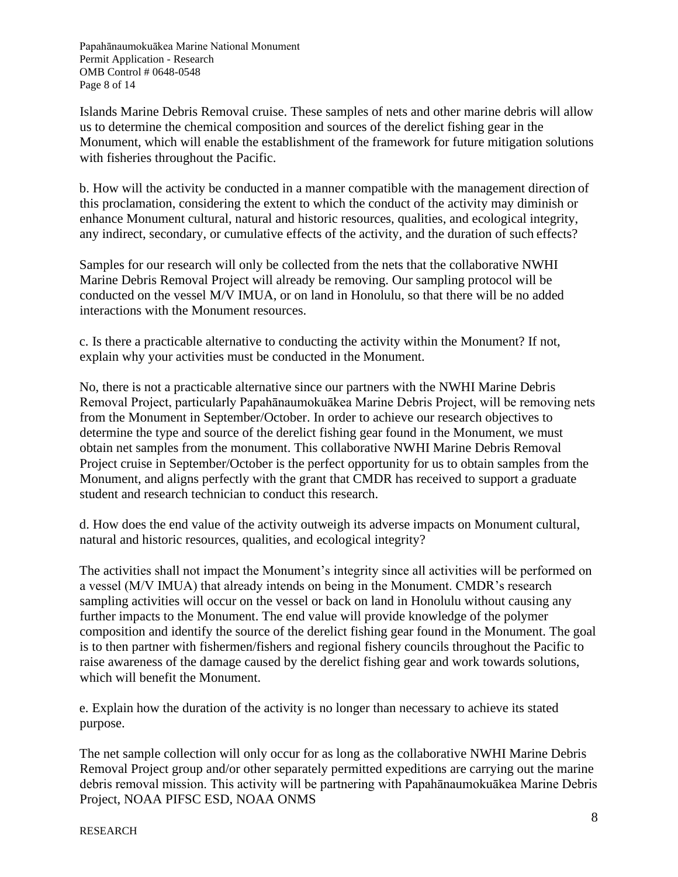Papahānaumokuākea Marine National Monument Permit Application - Research OMB Control # 0648-0548 Page 8 of 14

Islands Marine Debris Removal cruise. These samples of nets and other marine debris will allow us to determine the chemical composition and sources of the derelict fishing gear in the Monument, which will enable the establishment of the framework for future mitigation solutions with fisheries throughout the Pacific.

b. How will the activity be conducted in a manner compatible with the management direction of this proclamation, considering the extent to which the conduct of the activity may diminish or enhance Monument cultural, natural and historic resources, qualities, and ecological integrity, any indirect, secondary, or cumulative effects of the activity, and the duration of such effects?

Samples for our research will only be collected from the nets that the collaborative NWHI Marine Debris Removal Project will already be removing. Our sampling protocol will be conducted on the vessel M/V IMUA, or on land in Honolulu, so that there will be no added interactions with the Monument resources.

c. Is there a practicable alternative to conducting the activity within the Monument? If not, explain why your activities must be conducted in the Monument.

No, there is not a practicable alternative since our partners with the NWHI Marine Debris Removal Project, particularly Papahānaumokuākea Marine Debris Project, will be removing nets from the Monument in September/October. In order to achieve our research objectives to determine the type and source of the derelict fishing gear found in the Monument, we must obtain net samples from the monument. This collaborative NWHI Marine Debris Removal Project cruise in September/October is the perfect opportunity for us to obtain samples from the Monument, and aligns perfectly with the grant that CMDR has received to support a graduate student and research technician to conduct this research.

d. How does the end value of the activity outweigh its adverse impacts on Monument cultural, natural and historic resources, qualities, and ecological integrity?

The activities shall not impact the Monument's integrity since all activities will be performed on a vessel (M/V IMUA) that already intends on being in the Monument. CMDR's research sampling activities will occur on the vessel or back on land in Honolulu without causing any further impacts to the Monument. The end value will provide knowledge of the polymer composition and identify the source of the derelict fishing gear found in the Monument. The goal is to then partner with fishermen/fishers and regional fishery councils throughout the Pacific to raise awareness of the damage caused by the derelict fishing gear and work towards solutions, which will benefit the Monument.

e. Explain how the duration of the activity is no longer than necessary to achieve its stated purpose.

The net sample collection will only occur for as long as the collaborative NWHI Marine Debris Removal Project group and/or other separately permitted expeditions are carrying out the marine debris removal mission. This activity will be partnering with Papahānaumokuākea Marine Debris Project, NOAA PIFSC ESD, NOAA ONMS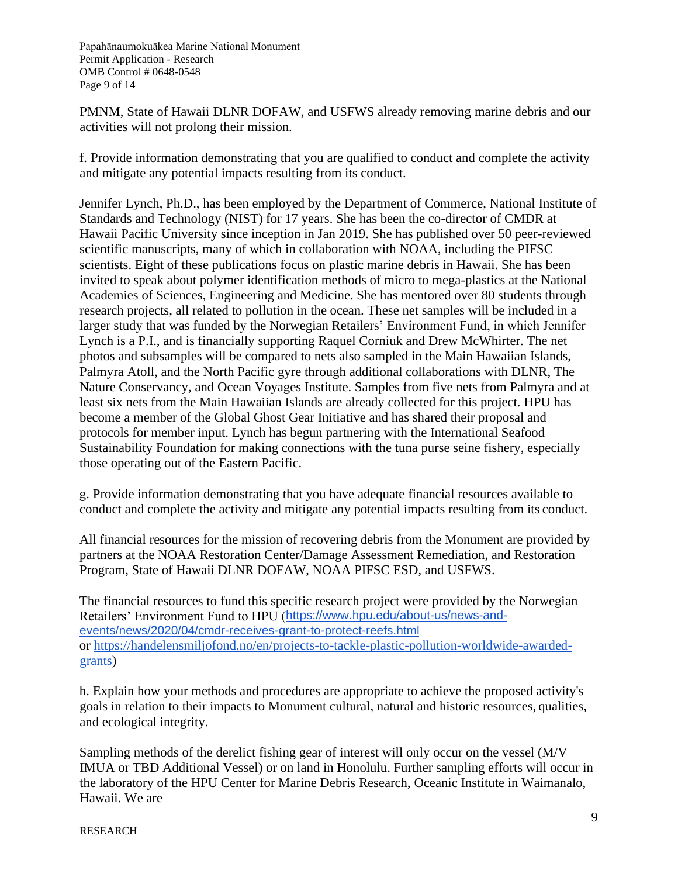Papahānaumokuākea Marine National Monument Permit Application - Research OMB Control # 0648-0548 Page 9 of 14

PMNM, State of Hawaii DLNR DOFAW, and USFWS already removing marine debris and our activities will not prolong their mission.

f. Provide information demonstrating that you are qualified to conduct and complete the activity and mitigate any potential impacts resulting from its conduct.

Jennifer Lynch, Ph.D., has been employed by the Department of Commerce, National Institute of Standards and Technology (NIST) for 17 years. She has been the co-director of CMDR at Hawaii Pacific University since inception in Jan 2019. She has published over 50 peer-reviewed scientific manuscripts, many of which in collaboration with NOAA, including the PIFSC scientists. Eight of these publications focus on plastic marine debris in Hawaii. She has been invited to speak about polymer identification methods of micro to mega-plastics at the National Academies of Sciences, Engineering and Medicine. She has mentored over 80 students through research projects, all related to pollution in the ocean. These net samples will be included in a larger study that was funded by the Norwegian Retailers' Environment Fund, in which Jennifer Lynch is a P.I., and is financially supporting Raquel Corniuk and Drew McWhirter. The net photos and subsamples will be compared to nets also sampled in the Main Hawaiian Islands, Palmyra Atoll, and the North Pacific gyre through additional collaborations with DLNR, The Nature Conservancy, and Ocean Voyages Institute. Samples from five nets from Palmyra and at least six nets from the Main Hawaiian Islands are already collected for this project. HPU has become a member of the Global Ghost Gear Initiative and has shared their proposal and protocols for member input. Lynch has begun partnering with the International Seafood Sustainability Foundation for making connections with the tuna purse seine fishery, especially those operating out of the Eastern Pacific.

g. Provide information demonstrating that you have adequate financial resources available to conduct and complete the activity and mitigate any potential impacts resulting from its conduct.

All financial resources for the mission of recovering debris from the Monument are provided by partners at the NOAA Restoration Center/Damage Assessment Remediation, and Restoration Program, State of Hawaii DLNR DOFAW, NOAA PIFSC ESD, and USFWS.

The financial resources to fund this specific research project were provided by the Norwegian Retailers' Environment Fund to HPU (https:/[/www.hpu.edu/about-us/news-and](http://www.hpu.edu/about-us/news-and-)events/news/2020/04/cmdr-receives-grant-to-protect-reefs.html or https://handelensmiljofond.no/en/projects-to-tackle-plastic-pollution-worldwide-awardedgrants)

h. Explain how your methods and procedures are appropriate to achieve the proposed activity's goals in relation to their impacts to Monument cultural, natural and historic resources, qualities, and ecological integrity.

Sampling methods of the derelict fishing gear of interest will only occur on the vessel (M/V IMUA or TBD Additional Vessel) or on land in Honolulu. Further sampling efforts will occur in the laboratory of the HPU Center for Marine Debris Research, Oceanic Institute in Waimanalo, Hawaii. We are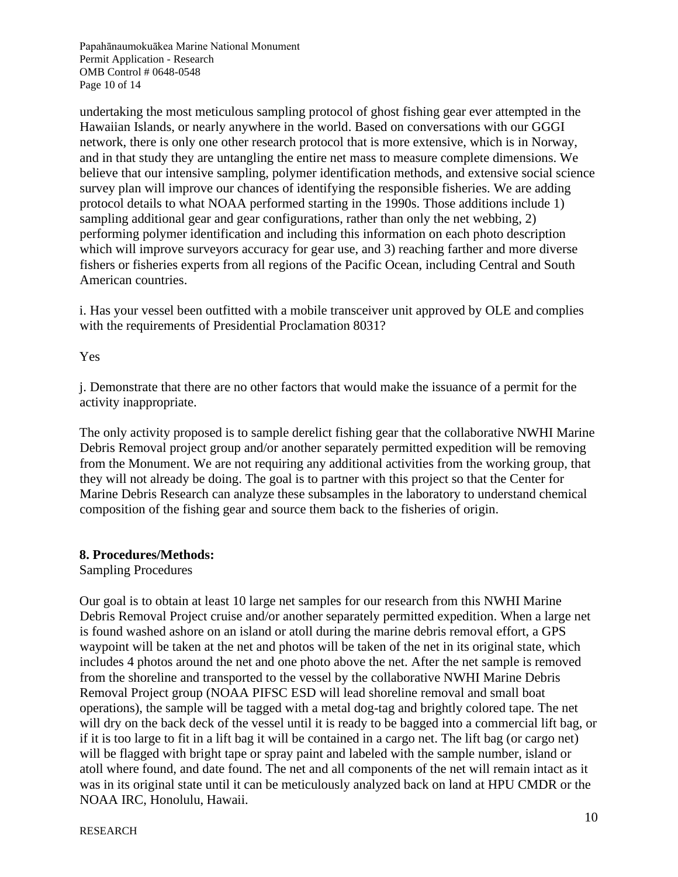Papahānaumokuākea Marine National Monument Permit Application - Research OMB Control # 0648-0548 Page 10 of 14

undertaking the most meticulous sampling protocol of ghost fishing gear ever attempted in the Hawaiian Islands, or nearly anywhere in the world. Based on conversations with our GGGI network, there is only one other research protocol that is more extensive, which is in Norway, and in that study they are untangling the entire net mass to measure complete dimensions. We believe that our intensive sampling, polymer identification methods, and extensive social science survey plan will improve our chances of identifying the responsible fisheries. We are adding protocol details to what NOAA performed starting in the 1990s. Those additions include 1) sampling additional gear and gear configurations, rather than only the net webbing, 2) performing polymer identification and including this information on each photo description which will improve surveyors accuracy for gear use, and 3) reaching farther and more diverse fishers or fisheries experts from all regions of the Pacific Ocean, including Central and South American countries.

i. Has your vessel been outfitted with a mobile transceiver unit approved by OLE and complies with the requirements of Presidential Proclamation 8031?

### Yes

j. Demonstrate that there are no other factors that would make the issuance of a permit for the activity inappropriate.

The only activity proposed is to sample derelict fishing gear that the collaborative NWHI Marine Debris Removal project group and/or another separately permitted expedition will be removing from the Monument. We are not requiring any additional activities from the working group, that they will not already be doing. The goal is to partner with this project so that the Center for Marine Debris Research can analyze these subsamples in the laboratory to understand chemical composition of the fishing gear and source them back to the fisheries of origin.

#### **8. Procedures/Methods:**

Sampling Procedures

Our goal is to obtain at least 10 large net samples for our research from this NWHI Marine Debris Removal Project cruise and/or another separately permitted expedition. When a large net is found washed ashore on an island or atoll during the marine debris removal effort, a GPS waypoint will be taken at the net and photos will be taken of the net in its original state, which includes 4 photos around the net and one photo above the net. After the net sample is removed from the shoreline and transported to the vessel by the collaborative NWHI Marine Debris Removal Project group (NOAA PIFSC ESD will lead shoreline removal and small boat operations), the sample will be tagged with a metal dog-tag and brightly colored tape. The net will dry on the back deck of the vessel until it is ready to be bagged into a commercial lift bag, or if it is too large to fit in a lift bag it will be contained in a cargo net. The lift bag (or cargo net) will be flagged with bright tape or spray paint and labeled with the sample number, island or atoll where found, and date found. The net and all components of the net will remain intact as it was in its original state until it can be meticulously analyzed back on land at HPU CMDR or the NOAA IRC, Honolulu, Hawaii.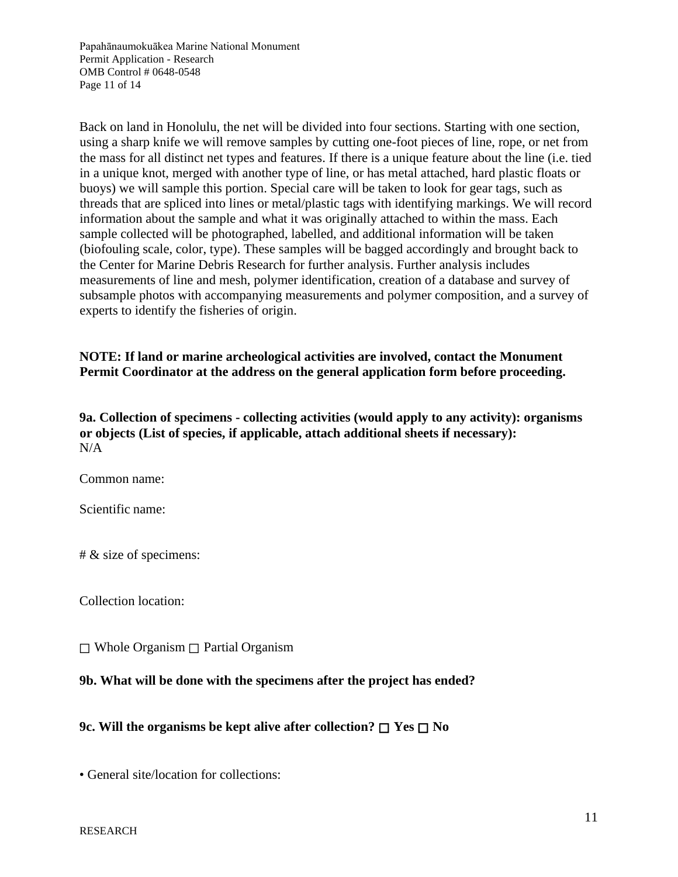Papahānaumokuākea Marine National Monument Permit Application - Research OMB Control # 0648-0548 Page 11 of 14

Back on land in Honolulu, the net will be divided into four sections. Starting with one section, using a sharp knife we will remove samples by cutting one-foot pieces of line, rope, or net from the mass for all distinct net types and features. If there is a unique feature about the line (i.e. tied in a unique knot, merged with another type of line, or has metal attached, hard plastic floats or buoys) we will sample this portion. Special care will be taken to look for gear tags, such as threads that are spliced into lines or metal/plastic tags with identifying markings. We will record information about the sample and what it was originally attached to within the mass. Each sample collected will be photographed, labelled, and additional information will be taken (biofouling scale, color, type). These samples will be bagged accordingly and brought back to the Center for Marine Debris Research for further analysis. Further analysis includes measurements of line and mesh, polymer identification, creation of a database and survey of subsample photos with accompanying measurements and polymer composition, and a survey of experts to identify the fisheries of origin.

# **NOTE: If land or marine archeological activities are involved, contact the Monument Permit Coordinator at the address on the general application form before proceeding.**

**9a. Collection of specimens - collecting activities (would apply to any activity): organisms or objects (List of species, if applicable, attach additional sheets if necessary):**  $N/A$ 

Common name:

Scientific name:

# & size of specimens:

Collection location:

☐ Whole Organism ☐ Partial Organism

### **9b. What will be done with the specimens after the project has ended?**

**9c. Will the organisms be kept alive after collection?** ☐ **Yes** ☐ **No**

• General site/location for collections: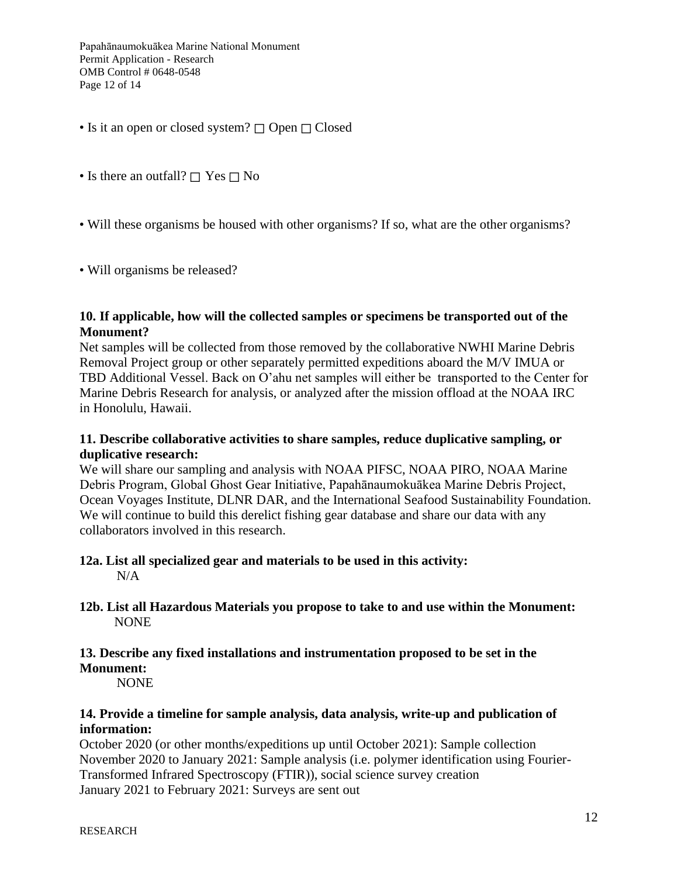Papahānaumokuākea Marine National Monument Permit Application - Research OMB Control # 0648-0548 Page 12 of 14

- Is it an open or closed system? □ Open □ Closed
- Is there an outfall? □ Yes □ No
- Will these organisms be housed with other organisms? If so, what are the other organisms?
- Will organisms be released?

#### **10. If applicable, how will the collected samples or specimens be transported out of the Monument?**

Net samples will be collected from those removed by the collaborative NWHI Marine Debris Removal Project group or other separately permitted expeditions aboard the M/V IMUA or TBD Additional Vessel. Back on O'ahu net samples will either be transported to the Center for Marine Debris Research for analysis, or analyzed after the mission offload at the NOAA IRC in Honolulu, Hawaii.

### **11. Describe collaborative activities to share samples, reduce duplicative sampling, or duplicative research:**

We will share our sampling and analysis with NOAA PIFSC, NOAA PIRO, NOAA Marine Debris Program, Global Ghost Gear Initiative, Papahānaumokuākea Marine Debris Project, Ocean Voyages Institute, DLNR DAR, and the International Seafood Sustainability Foundation. We will continue to build this derelict fishing gear database and share our data with any collaborators involved in this research.

#### **12a. List all specialized gear and materials to be used in this activity:**  $N/A$

### **12b. List all Hazardous Materials you propose to take to and use within the Monument:** NONE

#### **13. Describe any fixed installations and instrumentation proposed to be set in the Monument:**

NONE

### **14. Provide a timeline for sample analysis, data analysis, write-up and publication of information:**

October 2020 (or other months/expeditions up until October 2021): Sample collection November 2020 to January 2021: Sample analysis (i.e. polymer identification using Fourier-Transformed Infrared Spectroscopy (FTIR)), social science survey creation January 2021 to February 2021: Surveys are sent out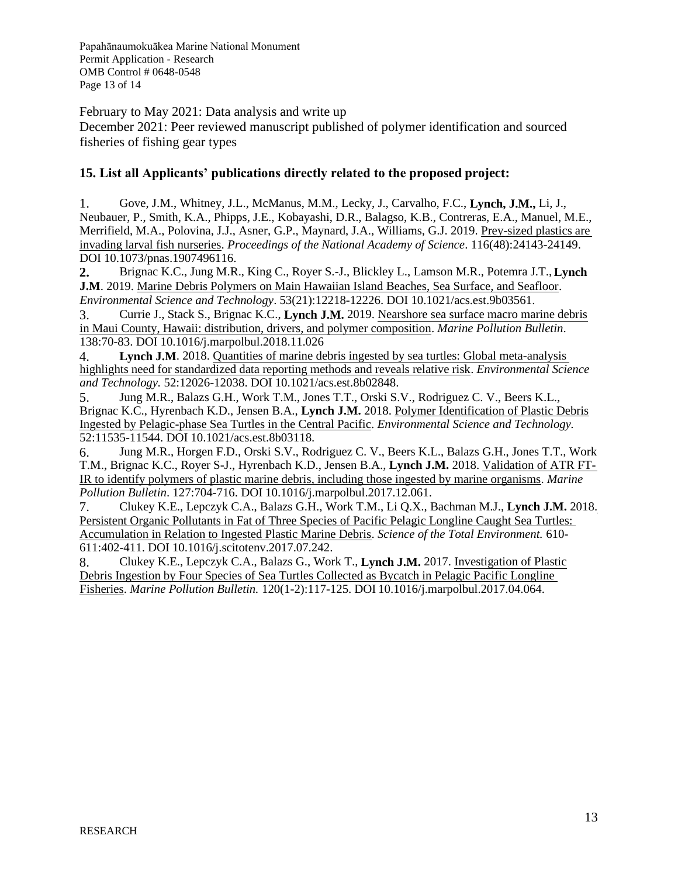Papahānaumokuākea Marine National Monument Permit Application - Research OMB Control # 0648-0548 Page 13 of 14

February to May 2021: Data analysis and write up

December 2021: Peer reviewed manuscript published of polymer identification and sourced fisheries of fishing gear types

# **15. List all Applicants' publications directly related to the proposed project:**

1. Gove, J.M., Whitney, J.L., McManus, M.M., Lecky, J., Carvalho, F.C., **Lynch, J.M.,** Li, J., Neubauer, P., Smith, K.A., Phipps, J.E., Kobayashi, D.R., Balagso, K.B., Contreras, E.A., Manuel, M.E., Merrifield, M.A., Polovina, J.J., Asner, G.P., Maynard, J.A., Williams, G.J. 2019. Prey-sized plastics are invading larval fish nurseries. *Proceedings of the National Academy of Science*. 116(48):24143-24149. DOI 10.1073/pnas.1907496116.

**2.** Brignac K.C., Jung M.R., King C., Royer S.-J., Blickley L., Lamson M.R., Potemra J.T., **Lynch J.M**. 2019. Marine Debris Polymers on Main Hawaiian Island Beaches, Sea Surface, and Seafloor. *Environmental Science and Technology*. 53(21):12218-12226. DOI 10.1021/acs.est.9b03561.

3. Currie J., Stack S., Brignac K.C., **Lynch J.M.** 2019. Nearshore sea surface macro marine debris in Maui County, Hawaii: distribution, drivers, and polymer composition. *Marine Pollution Bulletin*. 138:70-83. DOI 10.1016/j.marpolbul.2018.11.026

4. **Lynch J.M**. 2018. Quantities of marine debris ingested by sea turtles: Global meta-analysis highlights need for standardized data reporting methods and reveals relative risk. *Environmental Science and Technology.* 52:12026-12038. DOI 10.1021/acs.est.8b02848.

5. Jung M.R., Balazs G.H., Work T.M., Jones T.T., Orski S.V., Rodriguez C. V., Beers K.L., Brignac K.C., Hyrenbach K.D., Jensen B.A., **Lynch J.M.** 2018. Polymer Identification of Plastic Debris Ingested by Pelagic-phase Sea Turtles in the Central Pacific. *Environmental Science and Technology.*  52:11535-11544. DOI 10.1021/acs.est.8b03118.

6. Jung M.R., Horgen F.D., Orski S.V., Rodriguez C. V., Beers K.L., Balazs G.H., Jones T.T., Work T.M., Brignac K.C., Royer S-J., Hyrenbach K.D., Jensen B.A., **Lynch J.M.** 2018. Validation of ATR FT-IR to identify polymers of plastic marine debris, including those ingested by marine organisms. *Marine Pollution Bulletin*. 127:704-716. DOI 10.1016/j.marpolbul.2017.12.061.

7. Clukey K.E., Lepczyk C.A., Balazs G.H., Work T.M., Li Q.X., Bachman M.J., **Lynch J.M.** 2018. Persistent Organic Pollutants in Fat of Three Species of Pacific Pelagic Longline Caught Sea Turtles: Accumulation in Relation to Ingested Plastic Marine Debris. *Science of the Total Environment.* 610- 611:402-411. DOI 10.1016/j.scitotenv.2017.07.242.

8. Clukey K.E., Lepczyk C.A., Balazs G., Work T., **Lynch J.M.** 2017. Investigation of Plastic Debris Ingestion by Four Species of Sea Turtles Collected as Bycatch in Pelagic Pacific Longline Fisheries. *Marine Pollution Bulletin.* 120(1-2):117-125. DOI 10.1016/j.marpolbul.2017.04.064.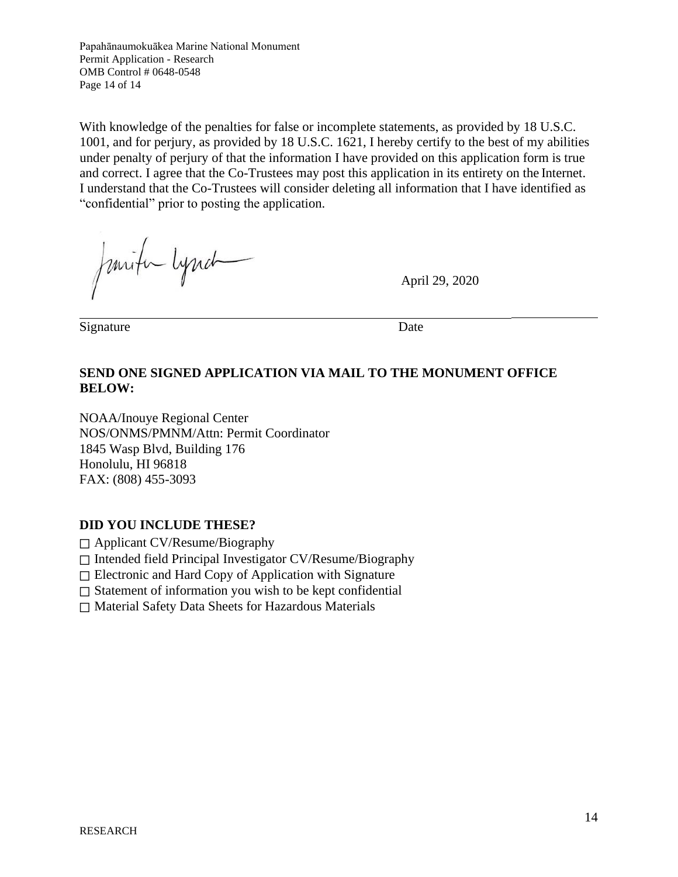Papahānaumokuākea Marine National Monument Permit Application - Research OMB Control # 0648-0548 Page 14 of 14

With knowledge of the penalties for false or incomplete statements, as provided by 18 U.S.C. 1001, and for perjury, as provided by 18 U.S.C. 1621, I hereby certify to the best of my abilities under penalty of perjury of that the information I have provided on this application form is true and correct. I agree that the Co-Trustees may post this application in its entirety on the Internet. I understand that the Co-Trustees will consider deleting all information that I have identified as "confidential" prior to posting the application.

Junifin Lynch

April 29, 2020

Signature Date

## **SEND ONE SIGNED APPLICATION VIA MAIL TO THE MONUMENT OFFICE BELOW:**

NOAA/Inouye Regional Center NOS/ONMS/PMNM/Attn: Permit Coordinator 1845 Wasp Blvd, Building 176 Honolulu, HI 96818 FAX: (808) 455-3093

### **DID YOU INCLUDE THESE?**

☐ Applicant CV/Resume/Biography

☐ Intended field Principal Investigator CV/Resume/Biography

☐ Electronic and Hard Copy of Application with Signature

□ Statement of information you wish to be kept confidential

☐ Material Safety Data Sheets for Hazardous Materials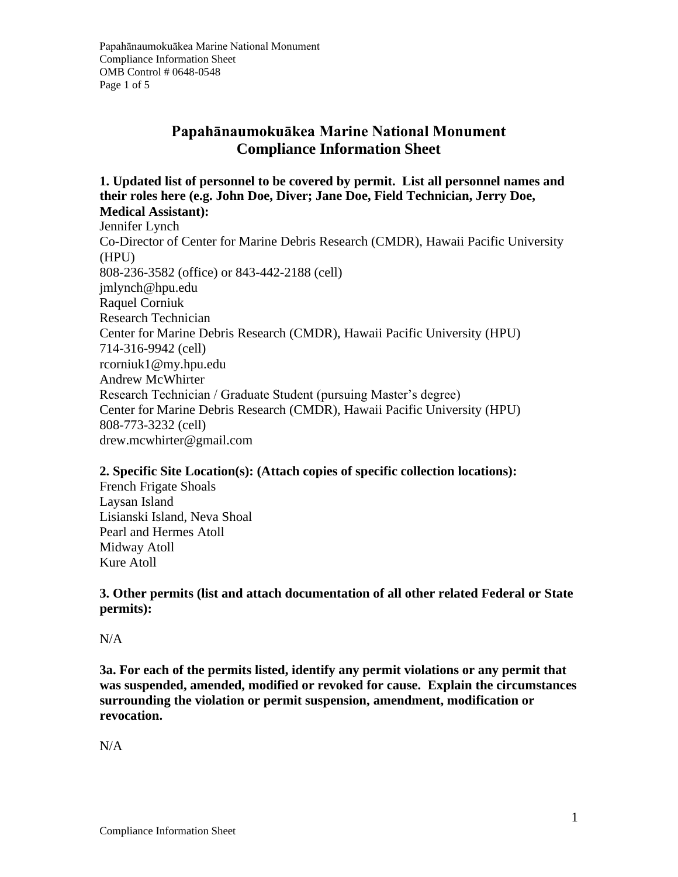# **Papahānaumokuākea Marine National Monument Compliance Information Sheet**

**1. Updated list of personnel to be covered by permit. List all personnel names and their roles here (e.g. John Doe, Diver; Jane Doe, Field Technician, Jerry Doe, Medical Assistant):** 

Jennifer Lynch Co-Director of Center for Marine Debris Research (CMDR), Hawaii Pacific University (HPU) 808-236-3582 (office) or 843-442-2188 (cell) jmlynch@hpu.edu Raquel Corniuk Research Technician Center for Marine Debris Research (CMDR), Hawaii Pacific University (HPU) 714-316-9942 (cell) rcorniuk1@my.hpu.edu Andrew McWhirter Research Technician / Graduate Student (pursuing Master's degree) Center for Marine Debris Research (CMDR), Hawaii Pacific University (HPU) 808-773-3232 (cell) drew.mcwhirter@gmail.com

### **2. Specific Site Location(s): (Attach copies of specific collection locations):**

French Frigate Shoals Laysan Island Lisianski Island, Neva Shoal Pearl and Hermes Atoll Midway Atoll Kure Atoll

**3. Other permits (list and attach documentation of all other related Federal or State permits):**

N/A

**3a. For each of the permits listed, identify any permit violations or any permit that was suspended, amended, modified or revoked for cause. Explain the circumstances surrounding the violation or permit suspension, amendment, modification or revocation.**

 $N/A$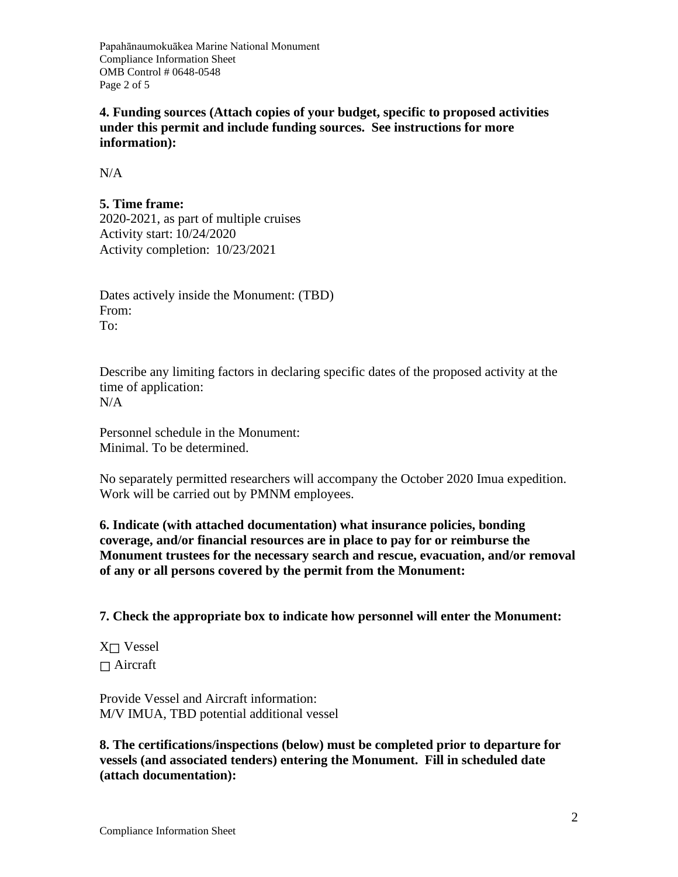Papahānaumokuākea Marine National Monument Compliance Information Sheet OMB Control # 0648-0548 Page 2 of 5

**4. Funding sources (Attach copies of your budget, specific to proposed activities under this permit and include funding sources. See instructions for more information):**

N/A

## **5. Time frame:**

2020-2021, as part of multiple cruises Activity start: 10/24/2020 Activity completion: 10/23/2021

Dates actively inside the Monument: (TBD) From: To:

Describe any limiting factors in declaring specific dates of the proposed activity at the time of application: N/A

Personnel schedule in the Monument: Minimal. To be determined.

No separately permitted researchers will accompany the October 2020 Imua expedition. Work will be carried out by PMNM employees.

**6. Indicate (with attached documentation) what insurance policies, bonding coverage, and/or financial resources are in place to pay for or reimburse the Monument trustees for the necessary search and rescue, evacuation, and/or removal of any or all persons covered by the permit from the Monument:**

**7. Check the appropriate box to indicate how personnel will enter the Monument:**

X☐ Vessel  $\Box$  Aircraft

Provide Vessel and Aircraft information: M/V IMUA, TBD potential additional vessel

**8. The certifications/inspections (below) must be completed prior to departure for vessels (and associated tenders) entering the Monument. Fill in scheduled date (attach documentation):**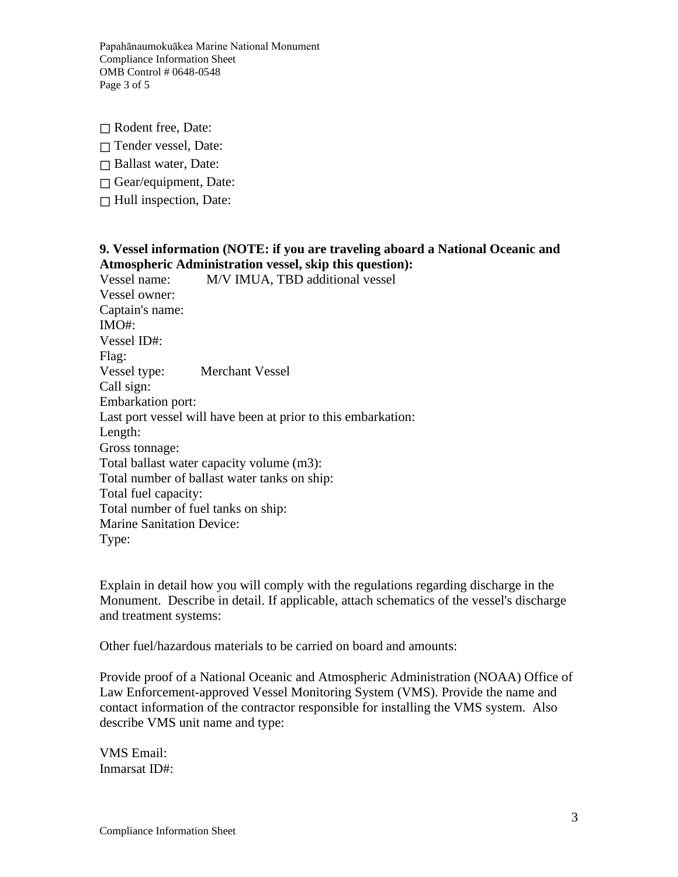Papahānaumokuākea Marine National Monument Compliance Information Sheet OMB Control # 0648-0548 Page 3 of 5

☐ Rodent free, Date:

☐ Tender vessel, Date:

☐ Ballast water, Date:

 $\Box$  Gear/equipment, Date:

 $\Box$  Hull inspection, Date:

#### **9. Vessel information (NOTE: if you are traveling aboard a National Oceanic and Atmospheric Administration vessel, skip this question):**

Vessel name: M/V IMUA, TBD additional vessel Vessel owner: Captain's name: IMO#: Vessel ID#: Flag: Vessel type: Merchant Vessel Call sign: Embarkation port: Last port vessel will have been at prior to this embarkation: Length: Gross tonnage: Total ballast water capacity volume (m3): Total number of ballast water tanks on ship: Total fuel capacity: Total number of fuel tanks on ship: Marine Sanitation Device: Type:

Explain in detail how you will comply with the regulations regarding discharge in the Monument. Describe in detail. If applicable, attach schematics of the vessel's discharge and treatment systems:

Other fuel/hazardous materials to be carried on board and amounts:

Provide proof of a National Oceanic and Atmospheric Administration (NOAA) Office of Law Enforcement-approved Vessel Monitoring System (VMS). Provide the name and contact information of the contractor responsible for installing the VMS system. Also describe VMS unit name and type:

VMS Email: Inmarsat ID#: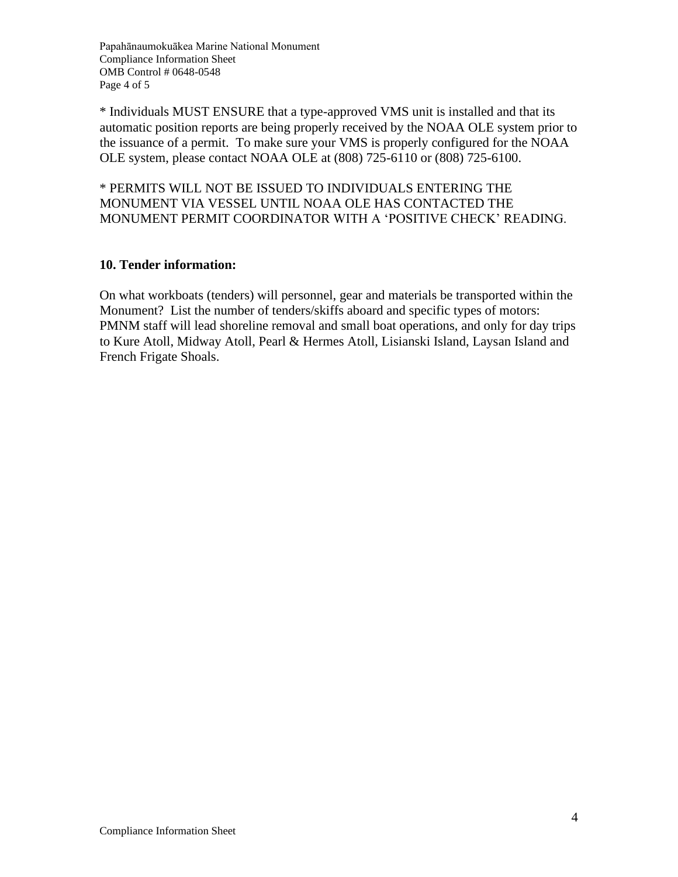Papahānaumokuākea Marine National Monument Compliance Information Sheet OMB Control # 0648-0548 Page 4 of 5

\* Individuals MUST ENSURE that a type-approved VMS unit is installed and that its automatic position reports are being properly received by the NOAA OLE system prior to the issuance of a permit. To make sure your VMS is properly configured for the NOAA OLE system, please contact NOAA OLE at (808) 725-6110 or (808) 725-6100.

\* PERMITS WILL NOT BE ISSUED TO INDIVIDUALS ENTERING THE MONUMENT VIA VESSEL UNTIL NOAA OLE HAS CONTACTED THE MONUMENT PERMIT COORDINATOR WITH A 'POSITIVE CHECK' READING.

### **10. Tender information:**

On what workboats (tenders) will personnel, gear and materials be transported within the Monument? List the number of tenders/skiffs aboard and specific types of motors: PMNM staff will lead shoreline removal and small boat operations, and only for day trips to Kure Atoll, Midway Atoll, Pearl & Hermes Atoll, Lisianski Island, Laysan Island and French Frigate Shoals.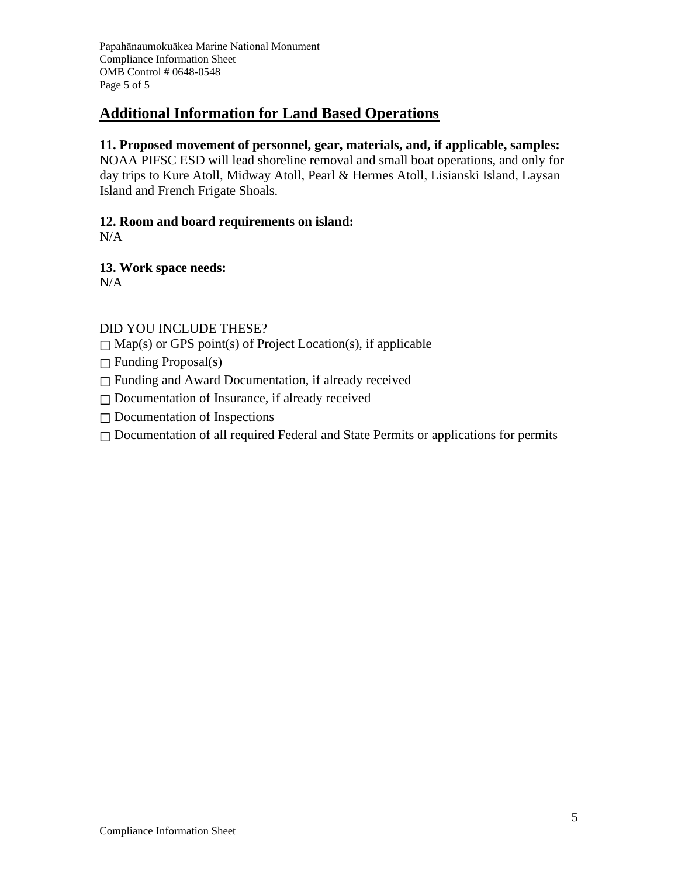Papahānaumokuākea Marine National Monument Compliance Information Sheet OMB Control # 0648-0548 Page 5 of 5

# **Additional Information for Land Based Operations**

# **11. Proposed movement of personnel, gear, materials, and, if applicable, samples:**

NOAA PIFSC ESD will lead shoreline removal and small boat operations, and only for day trips to Kure Atoll, Midway Atoll, Pearl & Hermes Atoll, Lisianski Island, Laysan Island and French Frigate Shoals.

# **12. Room and board requirements on island:**

 $N/A$ 

**13. Work space needs:** N/A

# DID YOU INCLUDE THESE?

 $\Box$  Map(s) or GPS point(s) of Project Location(s), if applicable

 $\Box$  Funding Proposal(s)

☐ Funding and Award Documentation, if already received

☐ Documentation of Insurance, if already received

☐ Documentation of Inspections

□ Documentation of all required Federal and State Permits or applications for permits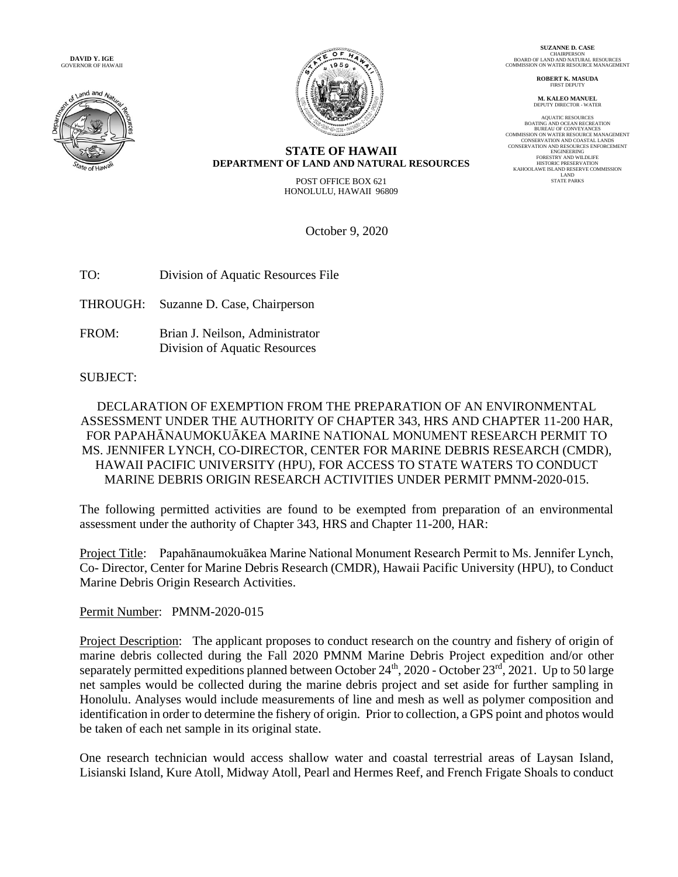**DAVID Y. IGE** GOVERNOR OF HAWAII





**SUZANNE D. CASE** CHAIRPERSON BOARD OF LAND AND NATURAL RESOURCES COMMISSION ON WATER RESOURCE MANAGEMENT

> **ROBERT K. MASUDA** FIRST DEPUTY

**M. KALEO MANUEL** DEPUTY DIRECTOR - WATER

AQUATIC RESOURCES BOATING AND OCEAN RECREATION BUREAU OF CONVEYANCES CONSERVATION AND COASTAL LANDS<br>CONSERVATION AND COASTAL LANDS<br>CONSERVATION AND RESOURCES ENFORCEMENT<br>FORESTRY AND NED<br>DIETERING<br>FORESTRY AND WILDLIFE<br>KAHOOLAWE ISLAND RESERVE COMMISSION<br>LAND RESERVE COMMISSION<br>STATE PARKS<br>

#### **STATE OF HAWAII DEPARTMENT OF LAND AND NATURAL RESOURCES**

POST OFFICE BOX 621 HONOLULU, HAWAII 96809

October 9, 2020

TO: Division of Aquatic Resources File

THROUGH: Suzanne D. Case, Chairperson

FROM: Brian J. Neilson, Administrator Division of Aquatic Resources

SUBJECT:

DECLARATION OF EXEMPTION FROM THE PREPARATION OF AN ENVIRONMENTAL ASSESSMENT UNDER THE AUTHORITY OF CHAPTER 343, HRS AND CHAPTER 11-200 HAR, FOR PAPAHĀNAUMOKUĀKEA MARINE NATIONAL MONUMENT RESEARCH PERMIT TO MS. JENNIFER LYNCH, CO-DIRECTOR, CENTER FOR MARINE DEBRIS RESEARCH (CMDR), HAWAII PACIFIC UNIVERSITY (HPU), FOR ACCESS TO STATE WATERS TO CONDUCT MARINE DEBRIS ORIGIN RESEARCH ACTIVITIES UNDER PERMIT PMNM-2020-015.

The following permitted activities are found to be exempted from preparation of an environmental assessment under the authority of Chapter 343, HRS and Chapter 11-200, HAR:

Project Title: Papahānaumokuākea Marine National Monument Research Permit to Ms. Jennifer Lynch, Co- Director, Center for Marine Debris Research (CMDR), Hawaii Pacific University (HPU), to Conduct Marine Debris Origin Research Activities.

### Permit Number: PMNM-2020-015

Project Description: The applicant proposes to conduct research on the country and fishery of origin of marine debris collected during the Fall 2020 PMNM Marine Debris Project expedition and/or other separately permitted expeditions planned between October 24<sup>th</sup>, 2020 - October 23<sup>rd</sup>, 2021. Up to 50 large net samples would be collected during the marine debris project and set aside for further sampling in Honolulu. Analyses would include measurements of line and mesh as well as polymer composition and identification in order to determine the fishery of origin. Prior to collection, a GPS point and photos would be taken of each net sample in its original state.

One research technician would access shallow water and coastal terrestrial areas of Laysan Island, Lisianski Island, Kure Atoll, Midway Atoll, Pearl and Hermes Reef, and French Frigate Shoals to conduct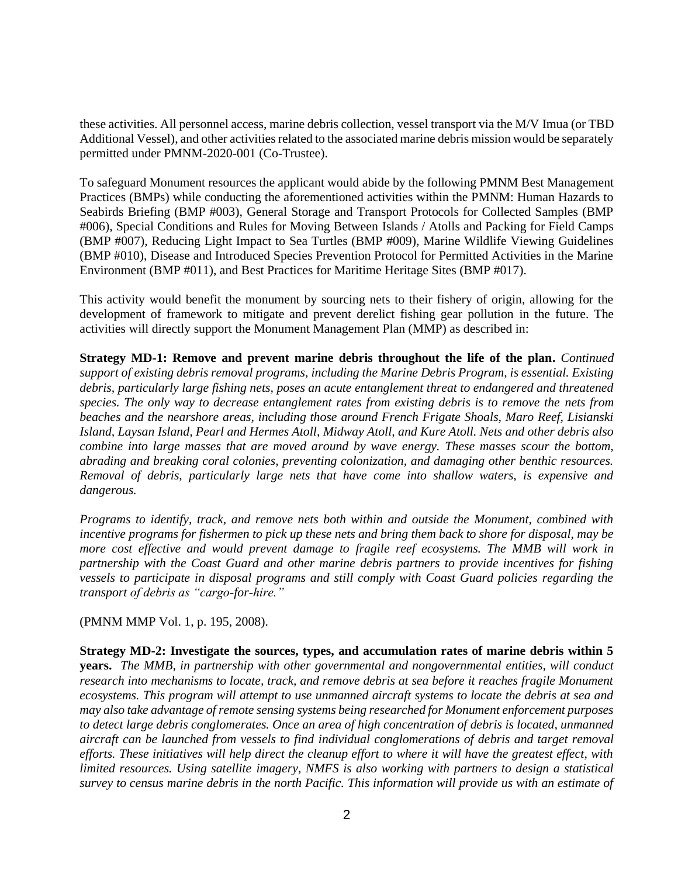these activities. All personnel access, marine debris collection, vessel transport via the M/V Imua (or TBD Additional Vessel), and other activities related to the associated marine debris mission would be separately permitted under PMNM-2020-001 (Co-Trustee).

To safeguard Monument resources the applicant would abide by the following PMNM Best Management Practices (BMPs) while conducting the aforementioned activities within the PMNM: Human Hazards to Seabirds Briefing (BMP #003), General Storage and Transport Protocols for Collected Samples (BMP #006), Special Conditions and Rules for Moving Between Islands / Atolls and Packing for Field Camps (BMP #007), Reducing Light Impact to Sea Turtles (BMP #009), Marine Wildlife Viewing Guidelines (BMP #010), Disease and Introduced Species Prevention Protocol for Permitted Activities in the Marine Environment (BMP #011), and Best Practices for Maritime Heritage Sites (BMP #017).

This activity would benefit the monument by sourcing nets to their fishery of origin, allowing for the development of framework to mitigate and prevent derelict fishing gear pollution in the future. The activities will directly support the Monument Management Plan (MMP) as described in:

**Strategy MD-1: Remove and prevent marine debris throughout the life of the plan.** *Continued support of existing debris removal programs, including the Marine Debris Program, is essential. Existing debris, particularly large fishing nets, poses an acute entanglement threat to endangered and threatened species. The only way to decrease entanglement rates from existing debris is to remove the nets from beaches and the nearshore areas, including those around French Frigate Shoals, Maro Reef, Lisianski Island, Laysan Island, Pearl and Hermes Atoll, Midway Atoll, and Kure Atoll. Nets and other debris also combine into large masses that are moved around by wave energy. These masses scour the bottom, abrading and breaking coral colonies, preventing colonization, and damaging other benthic resources. Removal of debris, particularly large nets that have come into shallow waters, is expensive and dangerous.*

*Programs to identify, track, and remove nets both within and outside the Monument, combined with incentive programs for fishermen to pick up these nets and bring them back to shore for disposal, may be*  more cost effective and would prevent damage to fragile reef ecosystems. The MMB will work in *partnership with the Coast Guard and other marine debris partners to provide incentives for fishing vessels to participate in disposal programs and still comply with Coast Guard policies regarding the transport of debris as "cargo-for-hire."*

(PMNM MMP Vol. 1, p. 195, 2008).

**Strategy MD-2: Investigate the sources, types, and accumulation rates of marine debris within 5 years.** *The MMB, in partnership with other governmental and nongovernmental entities, will conduct research into mechanisms to locate, track, and remove debris at sea before it reaches fragile Monument ecosystems. This program will attempt to use unmanned aircraft systems to locate the debris at sea and may also take advantage of remote sensing systems being researched for Monument enforcement purposes to detect large debris conglomerates. Once an area of high concentration of debris is located, unmanned aircraft can be launched from vessels to find individual conglomerations of debris and target removal efforts. These initiatives will help direct the cleanup effort to where it will have the greatest effect, with limited resources. Using satellite imagery, NMFS is also working with partners to design a statistical survey to census marine debris in the north Pacific. This information will provide us with an estimate of*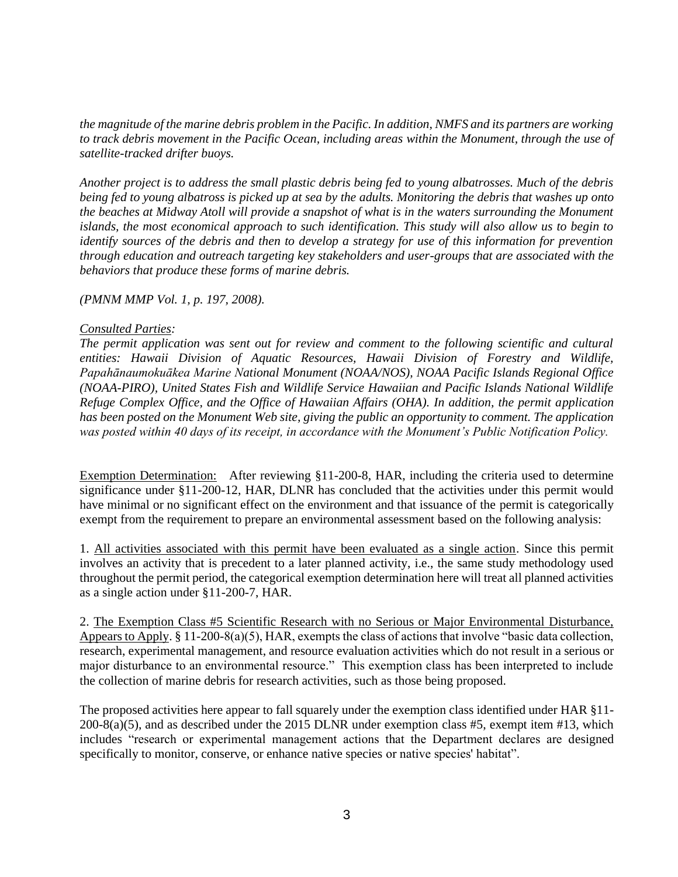*the magnitude of the marine debris problem in the Pacific. In addition, NMFS and its partners are working to track debris movement in the Pacific Ocean, including areas within the Monument, through the use of satellite-tracked drifter buoys.*

*Another project is to address the small plastic debris being fed to young albatrosses. Much of the debris being fed to young albatross is picked up at sea by the adults. Monitoring the debris that washes up onto the beaches at Midway Atoll will provide a snapshot of what is in the waters surrounding the Monument islands, the most economical approach to such identification. This study will also allow us to begin to identify sources of the debris and then to develop a strategy for use of this information for prevention through education and outreach targeting key stakeholders and user-groups that are associated with the behaviors that produce these forms of marine debris.*

*(PMNM MMP Vol. 1, p. 197, 2008).*

#### *Consulted Parties:*

*The permit application was sent out for review and comment to the following scientific and cultural entities: Hawaii Division of Aquatic Resources, Hawaii Division of Forestry and Wildlife, Papahānaumokuākea Marine National Monument (NOAA/NOS), NOAA Pacific Islands Regional Office (NOAA-PIRO), United States Fish and Wildlife Service Hawaiian and Pacific Islands National Wildlife Refuge Complex Office, and the Office of Hawaiian Affairs (OHA). In addition, the permit application has been posted on the Monument Web site, giving the public an opportunity to comment. The application was posted within 40 days of its receipt, in accordance with the Monument's Public Notification Policy.*

Exemption Determination: After reviewing §11-200-8, HAR, including the criteria used to determine significance under §11-200-12, HAR, DLNR has concluded that the activities under this permit would have minimal or no significant effect on the environment and that issuance of the permit is categorically exempt from the requirement to prepare an environmental assessment based on the following analysis:

1. All activities associated with this permit have been evaluated as a single action. Since this permit involves an activity that is precedent to a later planned activity, i.e., the same study methodology used throughout the permit period, the categorical exemption determination here will treat all planned activities as a single action under §11-200-7, HAR.

2. The Exemption Class #5 Scientific Research with no Serious or Major Environmental Disturbance, Appears to Apply. § 11-200-8(a)(5), HAR, exempts the class of actions that involve "basic data collection, research, experimental management, and resource evaluation activities which do not result in a serious or major disturbance to an environmental resource." This exemption class has been interpreted to include the collection of marine debris for research activities, such as those being proposed.

The proposed activities here appear to fall squarely under the exemption class identified under HAR §11- 200-8(a)(5), and as described under the 2015 DLNR under exemption class #5, exempt item #13, which includes "research or experimental management actions that the Department declares are designed specifically to monitor, conserve, or enhance native species or native species' habitat".